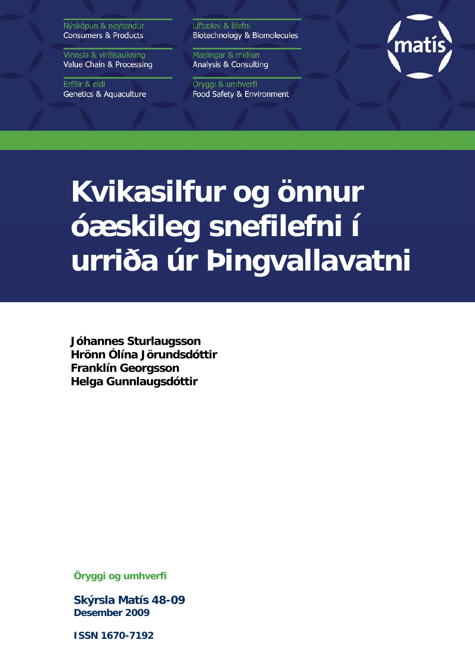Nýsköpun & neytendur **Consumers & Products** 

Vinnsla & virðisaukning Value Chain & Processing

Erfðir & eldi **Genetics & Aquaculture**  Líftækni & lífefni Biotechnology & Biomolecules

Mælingar & miðlun Analysis & Consulting

Öryggi & umhverfi Food Safety & Environment



# **Kvikasilfur og önnur óæskileg snefilefni í urriða úr Þingvallavatni**

**Jóhannes Sturlaugsson Hrönn Ólína Jörundsdóttir Franklín Georgsson Helga Gunnlaugsdóttir** 

**Öryggi og umhverfi** 

**Skýrsla Matís 48-09 Desember 2009** 

**ISSN 1670-7192**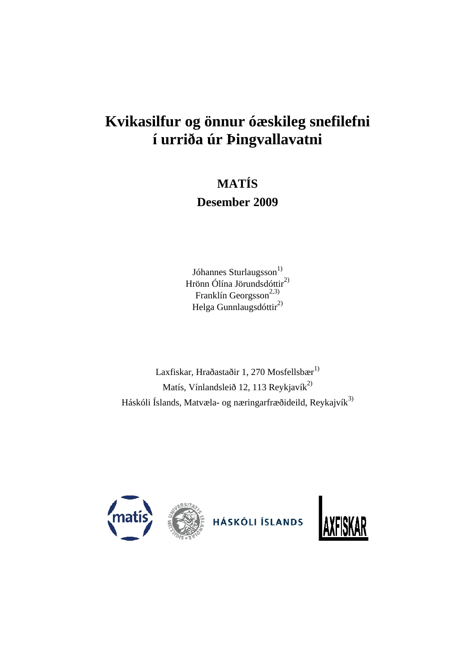# **Kvikasilfur og önnur óæskileg snefilefni í urriða úr Þingvallavatni**

# **MATÍS**

## **Desember 2009**

Jóhannes Sturlaugsson<sup>1)</sup> Hrönn Ólína Jörundsdóttir<sup>2)</sup> Franklín Georgsson<sup>2,3)</sup> Helga Gunnlaugsdóttir<sup>2)</sup>

Laxfiskar, Hraðastaðir 1, 270 Mosfellsb $\mathrm{er}^{1)}$ Matís, Vínlandsleið 12, 113 Reykjavík $^{2}$ Háskóli Íslands, Matvæla- og næringarfræðideild, Reykajvík<sup>3)</sup>

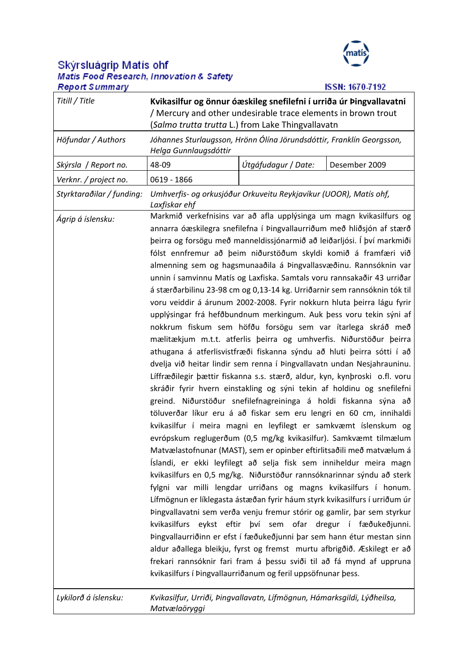

**ISSN: 1670-7192** 

# Skýrsluágrip Matís ohf<br>Matis Food Research, Innovation & Safety **Report Summary**

| Titill / Title            | Kvikasilfur og önnur óæskileg snefilefni í urriða úr Þingvallavatni<br>/ Mercury and other undesirable trace elements in brown trout<br>(Salmo trutta trutta L.) from Lake Thingvallavatn                                                                                                                                                                                                                                                                                                                                                                                                                                                                                                                                                                                                                                                                                                                                                                                                                                                                                                                                                                                                                                                                                                                                                                                                                                                                                                                                                                                                                                                                                                                                                                                                                                                                                                                                                                                                                                                                                                                                                                                                                                      |  |  |  |  |  |  |  |  |  |  |
|---------------------------|--------------------------------------------------------------------------------------------------------------------------------------------------------------------------------------------------------------------------------------------------------------------------------------------------------------------------------------------------------------------------------------------------------------------------------------------------------------------------------------------------------------------------------------------------------------------------------------------------------------------------------------------------------------------------------------------------------------------------------------------------------------------------------------------------------------------------------------------------------------------------------------------------------------------------------------------------------------------------------------------------------------------------------------------------------------------------------------------------------------------------------------------------------------------------------------------------------------------------------------------------------------------------------------------------------------------------------------------------------------------------------------------------------------------------------------------------------------------------------------------------------------------------------------------------------------------------------------------------------------------------------------------------------------------------------------------------------------------------------------------------------------------------------------------------------------------------------------------------------------------------------------------------------------------------------------------------------------------------------------------------------------------------------------------------------------------------------------------------------------------------------------------------------------------------------------------------------------------------------|--|--|--|--|--|--|--|--|--|--|
| Höfundar / Authors        | Jóhannes Sturlaugsson, Hrönn Ólína Jörundsdóttir, Franklín Georgsson,<br>Helga Gunnlaugsdóttir                                                                                                                                                                                                                                                                                                                                                                                                                                                                                                                                                                                                                                                                                                                                                                                                                                                                                                                                                                                                                                                                                                                                                                                                                                                                                                                                                                                                                                                                                                                                                                                                                                                                                                                                                                                                                                                                                                                                                                                                                                                                                                                                 |  |  |  |  |  |  |  |  |  |  |
| Skýrsla / Report no.      | Útgáfudagur / Date:<br>Desember 2009<br>48-09                                                                                                                                                                                                                                                                                                                                                                                                                                                                                                                                                                                                                                                                                                                                                                                                                                                                                                                                                                                                                                                                                                                                                                                                                                                                                                                                                                                                                                                                                                                                                                                                                                                                                                                                                                                                                                                                                                                                                                                                                                                                                                                                                                                  |  |  |  |  |  |  |  |  |  |  |
| Verknr. / project no.     | 0619 - 1866                                                                                                                                                                                                                                                                                                                                                                                                                                                                                                                                                                                                                                                                                                                                                                                                                                                                                                                                                                                                                                                                                                                                                                                                                                                                                                                                                                                                                                                                                                                                                                                                                                                                                                                                                                                                                                                                                                                                                                                                                                                                                                                                                                                                                    |  |  |  |  |  |  |  |  |  |  |
| Styrktaraðilar / funding: | Umhverfis- og orkusjóður Orkuveitu Reykjavíkur (UOOR), Matís ohf,<br>Laxfiskar ehf                                                                                                                                                                                                                                                                                                                                                                                                                                                                                                                                                                                                                                                                                                                                                                                                                                                                                                                                                                                                                                                                                                                                                                                                                                                                                                                                                                                                                                                                                                                                                                                                                                                                                                                                                                                                                                                                                                                                                                                                                                                                                                                                             |  |  |  |  |  |  |  |  |  |  |
| Ágrip á íslensku:         | Markmið verkefnisins var að afla upplýsinga um magn kvikasilfurs og<br>annarra óæskilegra snefilefna í Þingvallaurriðum með hliðsjón af stærð<br>þeirra og forsögu með manneldissjónarmið að leiðarljósi. Í því markmiði<br>fólst ennfremur að þeim niðurstöðum skyldi komið á framfæri við<br>almenning sem og hagsmunaaðila á Þingvallasvæðinu. Rannsóknin var<br>unnin í samvinnu Matís og Laxfiska. Samtals voru rannsakaðir 43 urriðar<br>á stærðarbilinu 23-98 cm og 0,13-14 kg. Urriðarnir sem rannsóknin tók til<br>voru veiddir á árunum 2002-2008. Fyrir nokkurn hluta þeirra lágu fyrir<br>upplýsingar frá hefðbundnum merkingum. Auk þess voru tekin sýni af<br>nokkrum fiskum sem höfðu forsögu sem var ítarlega skráð með<br>mælitækjum m.t.t. atferlis þeirra og umhverfis. Niðurstöður þeirra<br>athugana á atferlisvistfræði fiskanna sýndu að hluti þeirra sótti í að<br>dvelja við heitar lindir sem renna í Þingvallavatn undan Nesjahrauninu.<br>Líffræðilegir þættir fiskanna s.s. stærð, aldur, kyn, kynþroski o.fl. voru<br>skráðir fyrir hvern einstakling og sýni tekin af holdinu og snefilefni<br>greind. Niðurstöður snefilefnagreininga á holdi fiskanna sýna að<br>töluverðar líkur eru á að fiskar sem eru lengri en 60 cm, innihaldi<br>kvikasilfur í meira magni en leyfilegt er samkvæmt íslenskum og<br>evrópskum reglugerðum (0,5 mg/kg kvikasilfur). Samkvæmt tilmælum<br>Matvælastofnunar (MAST), sem er opinber eftirlitsaðili með matvælum á<br>Íslandi, er ekki leyfilegt að selja fisk sem inniheldur meira magn<br>kvikasilfurs en 0,5 mg/kg. Niðurstöður rannsóknarinnar sýndu að sterk<br>fylgni var milli lengdar urriðans og magns kvikasilfurs í honum.<br>Lífmögnun er líklegasta ástæðan fyrir háum styrk kvikasilfurs í urriðum úr<br>Þingvallavatni sem verða venju fremur stórir og gamlir, þar sem styrkur<br>kvikasilfurs eykst eftir því sem ofar dregur í fæðukeðjunni.<br>Þingvallaurriðinn er efst í fæðukeðjunni þar sem hann étur mestan sinn<br>aldur aðallega bleikju, fyrst og fremst murtu afbrigðið. Æskilegt er að<br>frekari rannsóknir fari fram á þessu sviði til að fá mynd af uppruna<br>kvikasilfurs í Þingvallaurriðanum og feril uppsöfnunar þess. |  |  |  |  |  |  |  |  |  |  |
| Lykilorð á íslensku:      | Kvikasilfur, Urriði, Þingvallavatn, Lífmögnun, Hámarksgildi, Lýðheilsa,<br>Matvælaöryggi                                                                                                                                                                                                                                                                                                                                                                                                                                                                                                                                                                                                                                                                                                                                                                                                                                                                                                                                                                                                                                                                                                                                                                                                                                                                                                                                                                                                                                                                                                                                                                                                                                                                                                                                                                                                                                                                                                                                                                                                                                                                                                                                       |  |  |  |  |  |  |  |  |  |  |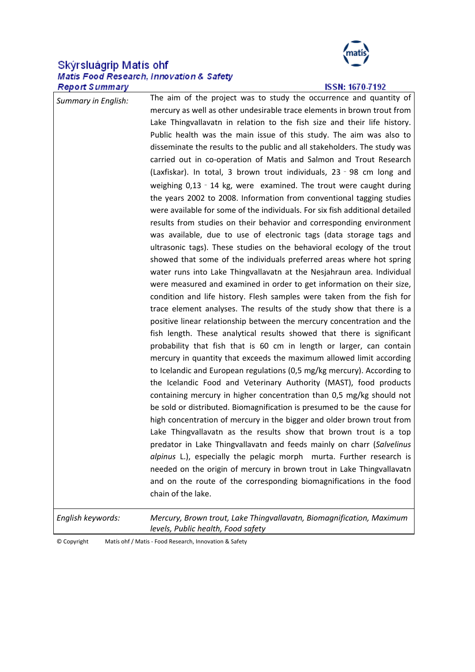# Skýrsluágrip Matís ohf<br>Matis Food Research, Innovation & Safety **Report Summary**



#### **ISSN: 1670-7192**

| <b>Summary in English:</b> | The aim of the project was to study the occurrence and quantity of<br>mercury as well as other undesirable trace elements in brown trout from |
|----------------------------|-----------------------------------------------------------------------------------------------------------------------------------------------|
|                            | Lake Thingvallavatn in relation to the fish size and their life history.                                                                      |
|                            | Public health was the main issue of this study. The aim was also to                                                                           |
|                            | disseminate the results to the public and all stakeholders. The study was                                                                     |
|                            | carried out in co-operation of Matis and Salmon and Trout Research                                                                            |
|                            | (Laxfiskar). In total, 3 brown trout individuals, 23 - 98 cm long and                                                                         |
|                            | weighing 0,13 - 14 kg, were examined. The trout were caught during                                                                            |
|                            | the years 2002 to 2008. Information from conventional tagging studies                                                                         |
|                            | were available for some of the individuals. For six fish additional detailed                                                                  |
|                            | results from studies on their behavior and corresponding environment                                                                          |
|                            | was available, due to use of electronic tags (data storage tags and                                                                           |
|                            | ultrasonic tags). These studies on the behavioral ecology of the trout                                                                        |
|                            | showed that some of the individuals preferred areas where hot spring                                                                          |
|                            | water runs into Lake Thingvallavatn at the Nesjahraun area. Individual                                                                        |
|                            | were measured and examined in order to get information on their size,                                                                         |
|                            | condition and life history. Flesh samples were taken from the fish for                                                                        |
|                            | trace element analyses. The results of the study show that there is a                                                                         |
|                            | positive linear relationship between the mercury concentration and the                                                                        |
|                            | fish length. These analytical results showed that there is significant                                                                        |
|                            | probability that fish that is 60 cm in length or larger, can contain                                                                          |
|                            | mercury in quantity that exceeds the maximum allowed limit according                                                                          |
|                            | to Icelandic and European regulations (0,5 mg/kg mercury). According to                                                                       |
|                            | the Icelandic Food and Veterinary Authority (MAST), food products                                                                             |
|                            | containing mercury in higher concentration than 0,5 mg/kg should not                                                                          |
|                            | be sold or distributed. Biomagnification is presumed to be the cause for                                                                      |
|                            | high concentration of mercury in the bigger and older brown trout from                                                                        |
|                            | Lake Thingvallavatn as the results show that brown trout is a top<br>predator in Lake Thingvallavatn and feeds mainly on charr (Salvelinus    |
|                            | alpinus L.), especially the pelagic morph murta. Further research is                                                                          |
|                            | needed on the origin of mercury in brown trout in Lake Thingvallavatn                                                                         |
|                            | and on the route of the corresponding biomagnifications in the food                                                                           |
|                            | chain of the lake.                                                                                                                            |
| English keywords:          | Mercury, Brown trout, Lake Thingvallavatn, Biomagnification, Maximum                                                                          |

*levels, Public health, Food safety*

© Copyright Matís ohf / Matis ‐ Food Research, Innovation & Safety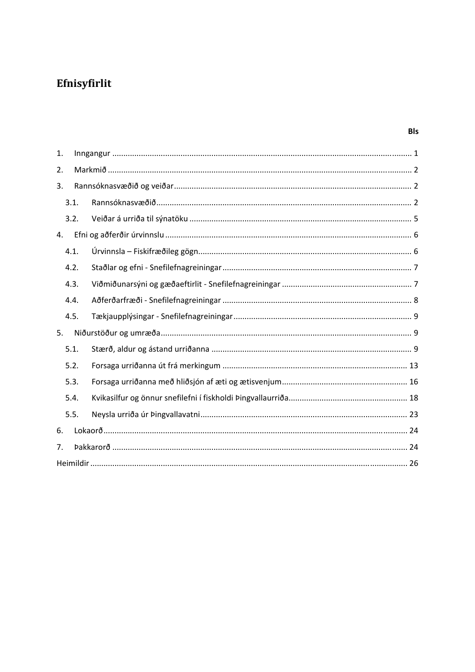## Efnisyfirlit

| 1. |      |  |
|----|------|--|
| 2. |      |  |
| 3. |      |  |
|    | 3.1. |  |
|    | 3.2. |  |
| 4. |      |  |
|    | 4.1. |  |
|    | 4.2. |  |
|    | 4.3. |  |
|    | 4.4. |  |
|    | 4.5. |  |
| 5. |      |  |
|    | 5.1. |  |
|    | 5.2. |  |
|    | 5.3. |  |
|    | 5.4. |  |
|    | 5.5. |  |
| 6. |      |  |
| 7. |      |  |
|    |      |  |

**BIs**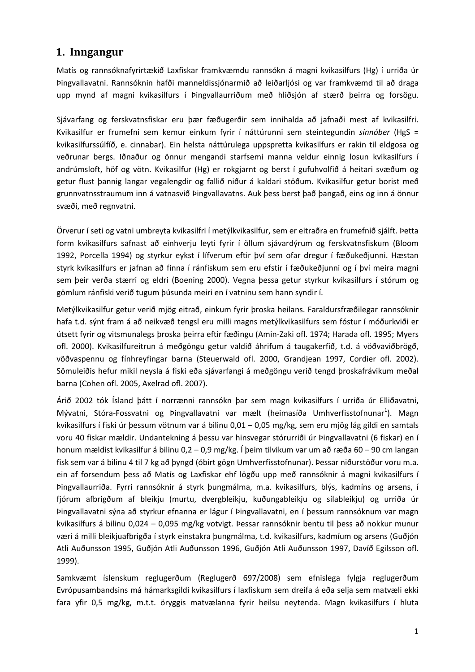#### **1. Inngangur**

Matís og rannsóknafyrirtækið Laxfiskar framkvæmdu rannsókn á magni kvikasilfurs (Hg) í urriða úr Þingvallavatni. Rannsóknin hafði manneldissjónarmið að leiðarljósi og var framkvæmd til að draga upp mynd af magni kvikasilfurs í Þingvallaurriðum með hliðsjón af stærð þeirra og forsögu.

Sjávarfang og ferskvatnsfiskar eru þær fæðugerðir sem innihalda að jafnaði mest af kvikasilfri. Kvikasilfur er frumefni sem kemur einkum fyrir í náttúrunni sem steintegundin *sinnóber* (HgS = kvikasilfurssúlfíð, e. cinnabar). Ein helsta náttúrulega uppspretta kvikasilfurs er rakin til eldgosa og veðrunar bergs. Iðnaður og önnur mengandi starfsemi manna veldur einnig losun kvikasilfurs í andrúmsloft, höf og vötn. Kvikasilfur (Hg) er rokgjarnt og berst í gufuhvolfið á heitari svæðum og getur flust þannig langar vegalengdir og fallið niður á kaldari stöðum. Kvikasilfur getur borist með grunnvatnsstraumum inn á vatnasvið Þingvallavatns. Auk þess berst það þangað, eins og inn á önnur svæði, með regnvatni.

Örverur í seti og vatni umbreyta kvikasilfri í metýlkvikasilfur, sem er eitraðra en frumefnið sjálft. Þetta form kvikasilfurs safnast að einhverju leyti fyrir í öllum sjávardýrum og ferskvatnsfiskum (Bloom 1992, Porcella 1994) og styrkur eykst í lífverum eftir því sem ofar dregur í fæðukeðjunni. Hæstan styrk kvikasilfurs er jafnan að finna í ránfiskum sem eru efstir í fæðukeðjunni og í því meira magni sem þeir verða stærri og eldri (Boening 2000). Vegna þessa getur styrkur kvikasilfurs í stórum og gömlum ránfiski verið tugum þúsunda meiri en í vatninu sem hann syndir í.

Metýlkvikasilfur getur verið mjög eitrað, einkum fyrir þroska heilans. Faraldursfræðilegar rannsóknir hafa t.d. sýnt fram á að neikvæð tengsl eru milli magns metýlkvikasilfurs sem fóstur í móðurkviði er útsett fyrir og vitsmunalegs þroska þeirra eftir fæðingu (Amin‐Zaki ofl. 1974; Harada ofl. 1995; Myers ofl. 2000). Kvikasilfureitrun á meðgöngu getur valdið áhrifum á taugakerfið, t.d. á vöðvaviðbrögð, vöðvaspennu og fínhreyfingar barna (Steuerwald ofl. 2000, Grandjean 1997, Cordier ofl. 2002). Sömuleiðis hefur mikil neysla á fiski eða sjávarfangi á meðgöngu verið tengd þroskafrávikum meðal barna (Cohen ofl. 2005, Axelrad ofl. 2007).

Árið 2002 tók Ísland þátt í norrænni rannsókn þar sem magn kvikasilfurs í urriða úr Elliðavatni, Mývatni, Stóra-Fossvatni og Þingvallavatni var mælt (heimasíða Umhverfisstofnunar<sup>1</sup>). Magn kvikasilfurs í fiski úr þessum vötnum var á bilinu 0,01 – 0,05 mg/kg, sem eru mjög lág gildi en samtals voru 40 fiskar mældir. Undantekning á þessu var hinsvegar stórurriði úr Þingvallavatni (6 fiskar) en í honum mældist kvikasilfur á bilinu 0,2 – 0,9 mg/kg. Í þeim tilvikum var um að ræða 60 – 90 cm langan fisk sem var á bilinu 4 til 7 kg að þyngd (óbirt gögn Umhverfisstofnunar). Þessar niðurstöður voru m.a. ein af forsendum þess að Matís og Laxfiskar ehf lögðu upp með rannsóknir á magni kvikasilfurs í Þingvallaurriða. Fyrri rannsóknir á styrk þungmálma, m.a. kvikasilfurs, blýs, kadmíns og arsens, í fjórum afbrigðum af bleikju (murtu, dvergbleikju, kuðungableikju og sílableikju) og urriða úr Þingvallavatni sýna að styrkur efnanna er lágur í Þingvallavatni, en í þessum rannsóknum var magn kvikasilfurs á bilinu 0,024 – 0,095 mg/kg votvigt. Þessar rannsóknir bentu til þess að nokkur munur væri á milli bleikjuafbrigða í styrk einstakra þungmálma, t.d. kvikasilfurs, kadmíum og arsens (Guðjón Atli Auðunsson 1995, Guðjón Atli Auðunsson 1996, Guðjón Atli Auðunsson 1997, Davíð Egilsson ofl. 1999).

Samkvæmt íslenskum reglugerðum (Reglugerð 697/2008) sem efnislega fylgja reglugerðum Evrópusambandsins má hámarksgildi kvikasilfurs í laxfiskum sem dreifa á eða selja sem matvæli ekki fara yfir 0,5 mg/kg, m.t.t. öryggis matvælanna fyrir heilsu neytenda. Magn kvikasilfurs í hluta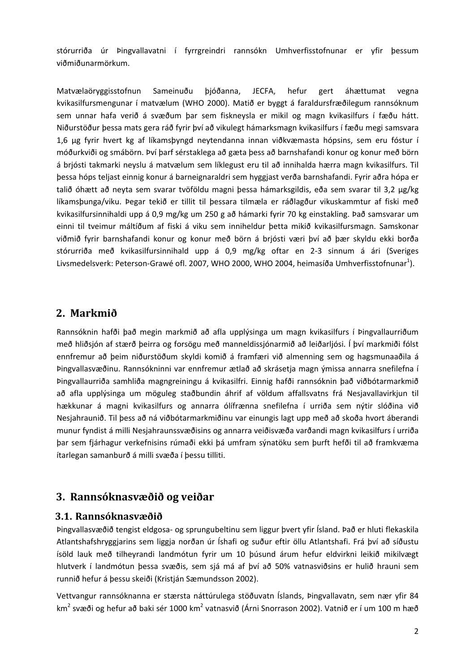stórurriða úr Þingvallavatni í fyrrgreindri rannsókn Umhverfisstofnunar er yfir þessum viðmiðunarmörkum.

Matvælaöryggisstofnun Sameinuðu þjóðanna, JECFA, hefur gert áhættumat vegna kvikasilfursmengunar í matvælum (WHO 2000). Matið er byggt á faraldursfræðilegum rannsóknum sem unnar hafa verið á svæðum þar sem fiskneysla er mikil og magn kvikasilfurs í fæðu hátt. Niðurstöður þessa mats gera ráð fyrir því að vikulegt hámarksmagn kvikasilfurs í fæðu megi samsvara 1,6 μg fyrir hvert kg af líkamsþyngd neytendanna innan viðkvæmasta hópsins, sem eru fóstur í móðurkviði og smábörn. Því þarf sérstaklega að gæta þess að barnshafandi konur og konur með börn á brjósti takmarki neyslu á matvælum sem líklegust eru til að innihalda hærra magn kvikasilfurs. Til þessa hóps teljast einnig konur á barneignaraldri sem hyggjast verða barnshafandi. Fyrir aðra hópa er talið óhætt að neyta sem svarar tvöföldu magni þessa hámarksgildis, eða sem svarar til 3,2 μg/kg líkamsþunga/viku. Þegar tekið er tillit til þessara tilmæla er ráðlagður vikuskammtur af fiski með kvikasilfursinnihaldi upp á 0,9 mg/kg um 250 g að hámarki fyrir 70 kg einstakling. Það samsvarar um einni til tveimur máltíðum af fiski á viku sem inniheldur þetta mikið kvikasilfursmagn. Samskonar viðmið fyrir barnshafandi konur og konur með börn á brjósti væri því að þær skyldu ekki borða stórurriða með kvikasilfursinnihald upp á 0,9 mg/kg oftar en 2‐3 sinnum á ári (Sveriges Livsmedelsverk: Peterson-Grawé ofl. 2007, WHO 2000, WHO 2004, heimasíða Umhverfisstofnunar<sup>1</sup>).

#### **2. Markmið**

Rannsóknin hafði það megin markmið að afla upplýsinga um magn kvikasilfurs í Þingvallaurriðum með hliðsjón af stærð þeirra og forsögu með manneldissjónarmið að leiðarljósi. Í því markmiði fólst ennfremur að þeim niðurstöðum skyldi komið á framfæri við almenning sem og hagsmunaaðila á Þingvallasvæðinu. Rannsókninni var ennfremur ætlað að skrásetja magn ýmissa annarra snefilefna í Þingvallaurriða samhliða magngreiningu á kvikasilfri. Einnig hafði rannsóknin það viðbótarmarkmið að afla upplýsinga um möguleg staðbundin áhrif af völdum affallsvatns frá Nesjavallavirkjun til hækkunar á magni kvikasilfurs og annarra ólífrænna snefilefna í urriða sem nýtir slóðina við Nesjahraunið. Til þess að ná viðbótarmarkmiðinu var einungis lagt upp með að skoða hvort áberandi munur fyndist á milli Nesjahraunssvæðisins og annarra veiðisvæða varðandi magn kvikasilfurs í urriða þar sem fjárhagur verkefnisins rúmaði ekki þá umfram sýnatöku sem þurft hefði til að framkvæma ítarlegan samanburð á milli svæða í þessu tilliti.

#### **3. Rannsóknasvæðið og veiðar**

#### **3.1. Rannsóknasvæðið**

Þingvallasvæðið tengist eldgosa‐ og sprungubeltinu sem liggur þvert yfir Ísland. Það er hluti flekaskila Atlantshafshryggjarins sem liggja norðan úr Íshafi og suður eftir öllu Atlantshafi. Frá því að síðustu ísöld lauk með tilheyrandi landmótun fyrir um 10 þúsund árum hefur eldvirkni leikið mikilvægt hlutverk í landmótun þessa svæðis, sem sjá má af því að 50% vatnasviðsins er hulið hrauni sem runnið hefur á þessu skeiði (Kristján Sæmundsson 2002).

Vettvangur rannsóknanna er stærsta náttúrulega stöðuvatn Íslands, Þingvallavatn, sem nær yfir 84 km<sup>2</sup> svæði og hefur að baki sér 1000 km<sup>2</sup> vatnasvið (Árni Snorrason 2002). Vatnið er í um 100 m hæð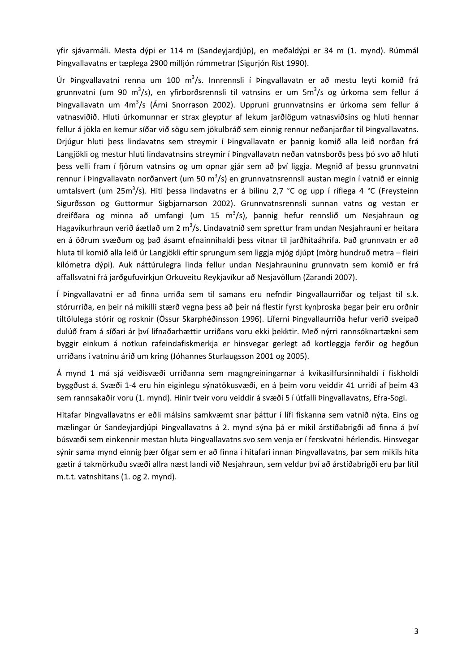yfir sjávarmáli. Mesta dýpi er 114 m (Sandeyjardjúp), en meðaldýpi er 34 m (1. mynd). Rúmmál Þingvallavatns er tæplega 2900 milljón rúmmetrar (Sigurjón Rist 1990).

Úr Þingvallavatni renna um 100 m<sup>3</sup>/s. Innrennsli í Þingvallavatn er að mestu leyti komið frá grunnvatni (um 90 m<sup>3</sup>/s), en yfirborðsrennsli til vatnsins er um 5m<sup>3</sup>/s og úrkoma sem fellur á Þingvallavatn um 4m<sup>3</sup>/s (Árni Snorrason 2002). Uppruni grunnvatnsins er úrkoma sem fellur á vatnasviðið. Hluti úrkomunnar er strax gleyptur af lekum jarðlögum vatnasviðsins og hluti hennar fellur á jökla en kemur síðar við sögu sem jökulbráð sem einnig rennur neðanjarðar til Þingvallavatns. Drjúgur hluti þess lindavatns sem streymir í Þingvallavatn er þannig komið alla leið norðan frá Langjökli og mestur hluti lindavatnsins streymir í Þingvallavatn neðan vatnsborðs þess þó svo að hluti þess velli fram í fjörum vatnsins og um opnar gjár sem að því liggja. Megnið af þessu grunnvatni rennur í Þingvallavatn norðanvert (um 50 m<sup>3</sup>/s) en grunnvatnsrennsli austan megin í vatnið er einnig umtalsvert (um 25m<sup>3</sup>/s). Hiti þessa lindavatns er á bilinu 2,7 °C og upp í ríflega 4 °C (Freysteinn Sigurðsson og Guttormur Sigbjarnarson 2002). Grunnvatnsrennsli sunnan vatns og vestan er dreifðara og minna að umfangi (um 15 m<sup>3</sup>/s), þannig hefur rennslið um Nesjahraun og Hagavíkurhraun verið áætlað um 2 m<sup>3</sup>/s. Lindavatnið sem sprettur fram undan Nesjahrauni er heitara en á öðrum svæðum og það ásamt efnainnihaldi þess vitnar til jarðhitaáhrifa. Það grunnvatn er að hluta til komið alla leið úr Langjökli eftir sprungum sem liggja mjög djúpt (mörg hundruð metra – fleiri kílómetra dýpi). Auk náttúrulegra linda fellur undan Nesjahrauninu grunnvatn sem komið er frá affallsvatni frá jarðgufuvirkjun Orkuveitu Reykjavíkur að Nesjavöllum (Zarandi 2007).

Í Þingvallavatni er að finna urriða sem til samans eru nefndir Þingvallaurriðar og teljast til s.k. stórurriða, en þeir ná mikilli stærð vegna þess að þeir ná flestir fyrst kynþroska þegar þeir eru orðnir tiltölulega stórir og rosknir (Össur Skarphéðinsson 1996). Líferni Þingvallaurriða hefur verið sveipað dulúð fram á síðari ár því lifnaðarhættir urriðans voru ekki þekktir. Með nýrri rannsóknartækni sem byggir einkum á notkun rafeindafiskmerkja er hinsvegar gerlegt að kortleggja ferðir og hegðun urriðans í vatninu árið um kring (Jóhannes Sturlaugsson 2001 og 2005).

Á mynd 1 má sjá veiðisvæði urriðanna sem magngreiningarnar á kvikasilfursinnihaldi í fiskholdi byggðust á. Svæði 1‐4 eru hin eiginlegu sýnatökusvæði, en á þeim voru veiddir 41 urriði af þeim 43 sem rannsakaðir voru (1. mynd). Hinir tveir voru veiddir á svæði 5 í útfalli Þingvallavatns, Efra‐Sogi.

Hitafar Þingvallavatns er eðli málsins samkvæmt snar þáttur í lífi fiskanna sem vatnið nýta. Eins og mælingar úr Sandeyjardjúpi Þingvallavatns á 2. mynd sýna þá er mikil árstíðabrigði að finna á því búsvæði sem einkennir mestan hluta Þingvallavatns svo sem venja er í ferskvatni hérlendis. Hinsvegar sýnir sama mynd einnig þær öfgar sem er að finna í hitafari innan Þingvallavatns, þar sem mikils hita gætir á takmörkuðu svæði allra næst landi við Nesjahraun, sem veldur því að árstíðabrigði eru þar lítil m.t.t. vatnshitans (1. og 2. mynd).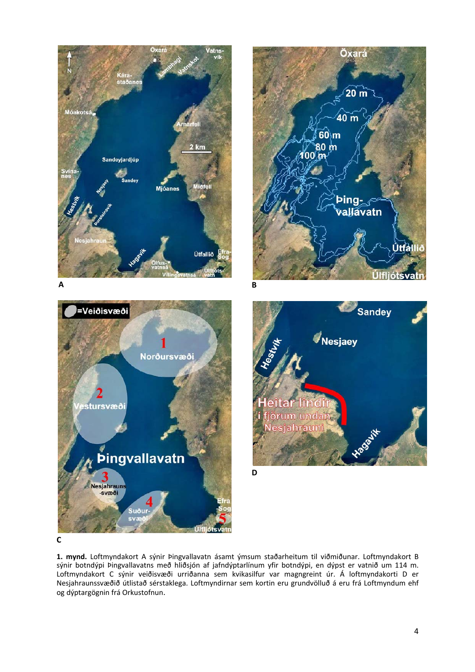

**C**

**1. mynd.** Loftmyndakort A sýnir Þingvallavatn ásamt ýmsum staðarheitum til viðmiðunar. Loftmyndakort B sýnir botndýpi Þingvallavatns með hliðsjón af jafndýptarlínum yfir botndýpi, en dýpst er vatnið um 114 m. Loftmyndakort C sýnir veiðisvæði urriðanna sem kvikasilfur var magngreint úr. Á loftmyndakorti D er Nesjahraunssvæðið útlistað sérstaklega. Loftmyndirnar sem kortin eru grundvölluð á eru frá Loftmyndum ehf og dýptargögnin frá Orkustofnun.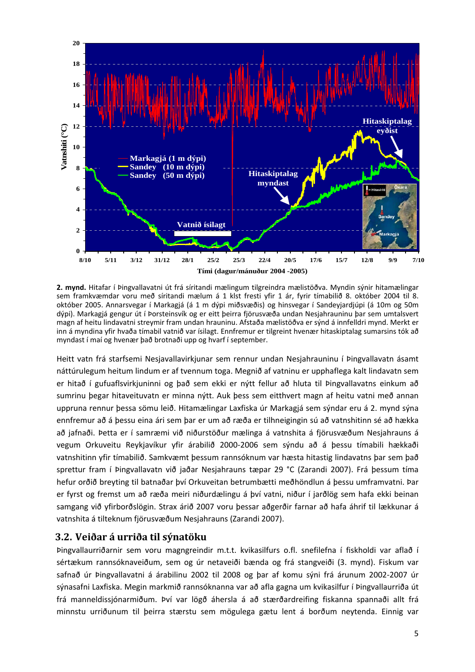

**2. mynd.** Hitafar í Þingvallavatni út frá síritandi mælingum tilgreindra mælistöðva. Myndin sýnir hitamælingar sem framkvæmdar voru með síritandi mælum á 1 klst fresti yfir 1 ár, fyrir tímabilið 8. október 2004 til 8. október 2005. Annarsvegar í Markagjá (á 1 m dýpi miðsvæðis) og hinsvegar í Sandeyjardjúpi (á 10m og 50m dýpi). Markagjá gengur út í Þorsteinsvík og er eitt þeirra fjörusvæða undan Nesjahrauninu þar sem umtalsvert magn af heitu lindavatni streymir fram undan hrauninu. Afstaða mælistöðva er sýnd á innfelldri mynd. Merkt er inn á myndina yfir hvaða tímabil vatnið var ísilagt. Ennfremur er tilgreint hvenær hitaskiptalag sumarsins tók að myndast í maí og hvenær það brotnaði upp og hvarf í september.

Heitt vatn frá starfsemi Nesjavallavirkjunar sem rennur undan Nesjahrauninu í Þingvallavatn ásamt náttúrulegum heitum lindum er af tvennum toga. Megnið af vatninu er upphaflega kalt lindavatn sem er hitað í gufuaflsvirkjuninni og það sem ekki er nýtt fellur að hluta til Þingvallavatns einkum að sumrinu þegar hitaveituvatn er minna nýtt. Auk þess sem eitthvert magn af heitu vatni með annan uppruna rennur þessa sömu leið. Hitamælingar Laxfiska úr Markagjá sem sýndar eru á 2. mynd sýna ennfremur að á þessu eina ári sem þar er um að ræða er tilhneigingin sú að vatnshitinn sé að hækka að jafnaði. Þetta er í samræmi við niðurstöður mælinga á vatnshita á fjörusvæðum Nesjahrauns á vegum Orkuveitu Reykjavíkur yfir árabilið 2000‐2006 sem sýndu að á þessu tímabili hækkaði vatnshitinn yfir tímabilið. Samkvæmt þessum rannsóknum var hæsta hitastig lindavatns þar sem það sprettur fram í Þingvallavatn við jaðar Nesjahrauns tæpar 29 °C (Zarandi 2007). Frá þessum tíma hefur orðið breyting til batnaðar því Orkuveitan betrumbætti meðhöndlun á þessu umframvatni. Þar er fyrst og fremst um að ræða meiri niðurdælingu á því vatni, niður í jarðlög sem hafa ekki beinan samgang við yfirborðslögin. Strax árið 2007 voru þessar aðgerðir farnar að hafa áhrif til lækkunar á vatnshita á tilteknum fjörusvæðum Nesjahrauns (Zarandi 2007).

#### **3.2. Veiðar á urriða til sýnatöku**

Þingvallaurriðarnir sem voru magngreindir m.t.t. kvikasilfurs o.fl. snefilefna í fiskholdi var aflað í sértækum rannsóknaveiðum, sem og úr netaveiði bænda og frá stangveiði (3. mynd). Fiskum var safnað úr Þingvallavatni á árabilinu 2002 til 2008 og þar af komu sýni frá árunum 2002‐2007 úr sýnasafni Laxfiska. Megin markmið rannsóknanna var að afla gagna um kvikasilfur í Þingvallaurriða út frá manneldissjónarmiðum. Því var lögð áhersla á að stærðardreifing fiskanna spannaði allt frá minnstu urriðunum til þeirra stærstu sem mögulega gætu lent á borðum neytenda. Einnig var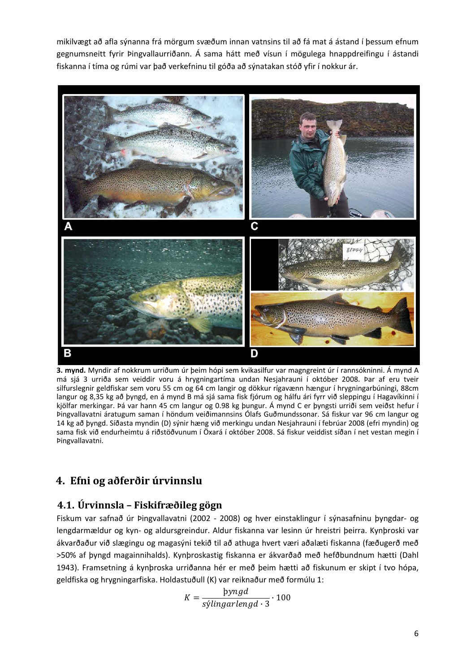mikilvægt að afla sýnanna frá mörgum svæðum innan vatnsins til að fá mat á ástand í þessum efnum gegnumsneitt fyrir Þingvallaurriðann. Á sama hátt með vísun í mögulega hnappdreifingu í ástandi fiskanna í tíma og rúmi var það verkefninu til góða að sýnatakan stóð yfir í nokkur ár.



**3. mynd.** Myndir af nokkrum urriðum úr þeim hópi sem kvikasilfur var magngreint úr í rannsókninni. Á mynd A má sjá 3 urriða sem veiddir voru á hrygningartíma undan Nesjahrauni í október 2008. Þar af eru tveir silfurslegnir geldfiskar sem voru 55 cm og 64 cm langir og dökkur rígavænn hængur í hrygningarbúningi, 88cm langur og 8,35 kg að þyngd, en á mynd B má sjá sama fisk fjórum og hálfu ári fyrr við sleppingu í Hagavíkinni í kjölfar merkingar. Þá var hann 45 cm langur og 0.98 kg þungur. Á mynd C er þyngsti urriði sem veiðst hefur í Þingvallavatni áratugum saman í höndum veiðimannsins Ólafs Guðmundssonar. Sá fiskur var 96 cm langur og 14 kg að þyngd. Síðasta myndin (D) sýnir hæng við merkingu undan Nesjahrauni í febrúar 2008 (efri myndin) og sama fisk við endurheimtu á riðstöðvunum í Öxará í október 2008. Sá fiskur veiddist síðan í net vestan megin í Þingvallavatni.

## **4. Efni og aðferðir úrvinnslu**

#### **4.1. Úrvinnsla – Fiskifræðileg gögn**

Fiskum var safnað úr Þingvallavatni (2002 ‐ 2008) og hver einstaklingur í sýnasafninu þyngdar‐ og lengdarmældur og kyn‐ og aldursgreindur. Aldur fiskanna var lesinn úr hreistri þeirra. Kynþroski var ákvarðaður við slægingu og magasýni tekið til að athuga hvert væri aðalæti fiskanna (fæðugerð með >50% af þyngd magainnihalds). Kynþroskastig fiskanna er ákvarðað með hefðbundnum hætti (Dahl 1943). Framsetning á kynþroska urriðanna hér er með þeim hætti að fiskunum er skipt í tvo hópa, geldfiska og hrygningarfiska. Holdastuðull (K) var reiknaður með formúlu 1:

$$
K = \frac{byngd}{sylingarlengd \cdot 3} \cdot 100
$$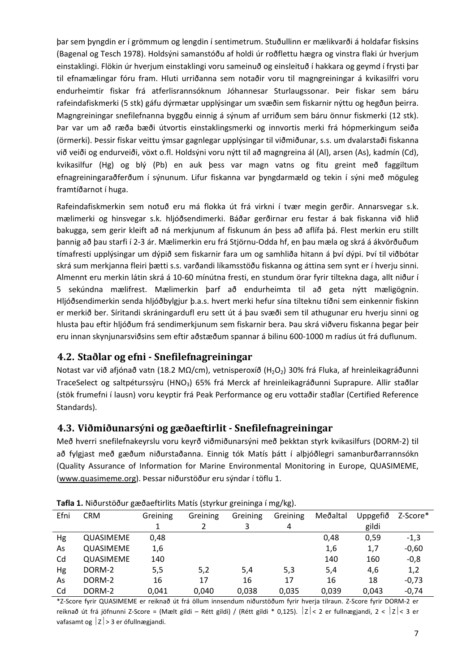þar sem þyngdin er í grömmum og lengdin í sentimetrum. Stuðullinn er mælikvarði á holdafar fisksins (Bagenal og Tesch 1978). Holdsýni samanstóðu af holdi úr roðflettu hægra og vinstra flaki úr hverjum einstaklingi. Flökin úr hverjum einstaklingi voru sameinuð og einsleituð í hakkara og geymd í frysti þar til efnamælingar fóru fram. Hluti urriðanna sem notaðir voru til magngreiningar á kvikasilfri voru endurheimtir fiskar frá atferlisrannsóknum Jóhannesar Sturlaugssonar. Þeir fiskar sem báru rafeindafiskmerki (5 stk) gáfu dýrmætar upplýsingar um svæðin sem fiskarnir nýttu og hegðun þeirra. Magngreiningar snefilefnanna byggðu einnig á sýnum af urriðum sem báru önnur fiskmerki (12 stk). Þar var um að ræða bæði útvortis einstaklingsmerki og innvortis merki frá hópmerkingum seiða (örmerki). Þessir fiskar veittu ýmsar gagnlegar upplýsingar til viðmiðunar, s.s. um dvalarstaði fiskanna við veiði og endurveiði, vöxt o.fl. Holdsýni voru nýtt til að magngreina ál (Al), arsen (As), kadmín (Cd), kvikasilfur (Hg) og blý (Pb) en auk þess var magn vatns og fitu greint með faggiltum efnagreiningaraðferðum í sýnunum. Lifur fiskanna var þyngdarmæld og tekin í sýni með möguleg framtíðarnot í huga.

Rafeindafiskmerkin sem notuð eru má flokka út frá virkni í tvær megin gerðir. Annarsvegar s.k. mælimerki og hinsvegar s.k. hljóðsendimerki. Báðar gerðirnar eru festar á bak fiskanna við hlið bakugga, sem gerir kleift að ná merkjunum af fiskunum án þess að aflífa þá. Flest merkin eru stillt þannig að þau starfi í 2‐3 ár. Mælimerkin eru frá Stjörnu‐Odda hf, en þau mæla og skrá á ákvörðuðum tímafresti upplýsingar um dýpið sem fiskarnir fara um og samhliða hitann á því dýpi. Því til viðbótar skrá sum merkjanna fleiri þætti s.s. varðandi líkamsstöðu fiskanna og áttina sem synt er í hverju sinni. Almennt eru merkin látin skrá á 10‐60 mínútna fresti, en stundum örar fyrir tiltekna daga, allt niður í 5 sekúndna mælifrest. Mælimerkin þarf að endurheimta til að geta nýtt mæligögnin. Hljóðsendimerkin senda hljóðbylgjur þ.a.s. hvert merki hefur sína tilteknu tíðni sem einkennir fiskinn er merkið ber. Síritandi skráningardufl eru sett út á þau svæði sem til athugunar eru hverju sinni og hlusta þau eftir hljóðum frá sendimerkjunum sem fiskarnir bera. Þau skrá viðveru fiskanna þegar þeir eru innan skynjunarsviðsins sem eftir aðstæðum spannar á bilinu 600‐1000 m radíus út frá duflunum.

#### **4.2. Staðlar og efni Snefilefnagreiningar**

Notast var við afjónað vatn (18.2 MΩ/cm), vetnisperoxíð (H<sub>2</sub>O<sub>2</sub>) 30% frá Fluka, af hreinleikagráðunni TraceSelect og saltpéturssýru (HNO3) 65% frá Merck af hreinleikagráðunni Suprapure. Allir staðlar (stök frumefni í lausn) voru keyptir frá Peak Performance og eru vottaðir staðlar (Certified Reference Standards).

#### **4.3. Viðmiðunarsýni og gæðaeftirlit Snefilefnagreiningar**

Með hverri snefilefnakeyrslu voru keyrð viðmiðunarsýni með þekktan styrk kvikasilfurs (DORM‐2) til að fylgjast með gæðum niðurstaðanna. Einnig tók Matís þátt í alþjóðlegri samanburðarrannsókn (Quality Assurance of Information for Marine Environmental Monitoring in Europe, QUASIMEME, (www.quasimeme.org). Þessar niðurstöður eru sýndar í töflu 1.

| Efni | <b>CRM</b> | Greining | Greining | Greining | Greining | Meðaltal | Uppgefið | Z-Score* |
|------|------------|----------|----------|----------|----------|----------|----------|----------|
|      |            |          |          | 3        | 4        |          | gildi    |          |
| Hg   | QUASIMEME  | 0,48     |          |          |          | 0,48     | 0,59     | $-1,3$   |
| As   | QUASIMEME  | 1,6      |          |          |          | 1,6      | 1,7      | $-0,60$  |
| Cd   | QUASIMEME  | 140      |          |          |          | 140      | 160      | $-0,8$   |
| Hg   | DORM-2     | 5,5      | 5,2      | 5,4      | 5,3      | 5,4      | 4,6      | 1,2      |
| As   | DORM-2     | 16       | 17       | 16       | 17       | 16       | 18       | $-0,73$  |
| Cd   | DORM-2     | 0,041    | 0,040    | 0,038    | 0,035    | 0,039    | 0,043    | $-0,74$  |

**Tafla 1.** Niðurstöður gæðaeftirlits Matís (styrkur greininga í mg/kg).

\*Z‐Score fyrir QUASIMEME er reiknað út frá öllum innsendum niðurstöðum fyrir hverja tilraun. Z‐Score fyrir DORM‐2 er reiknað út frá jöfnunni Z-Score = (Mælt gildi – Rétt gildi) / (Rétt gildi \* 0,125).  $|z| < 2$  er fullnægjandi, 2 <  $|z| < 3$  er vafasamt og  $|z| > 3$  er ófullnægjandi.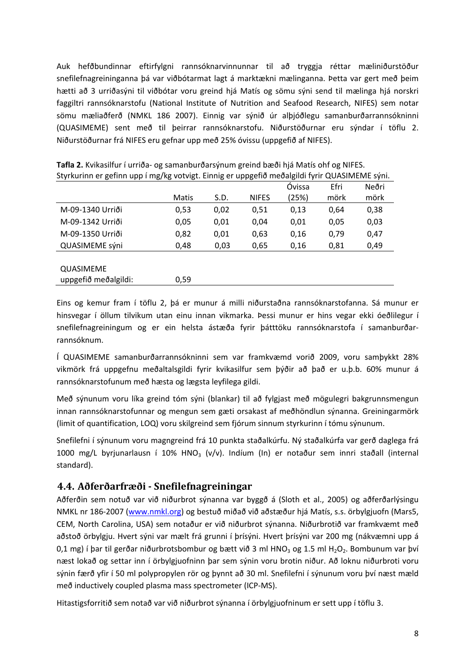Auk hefðbundinnar eftirfylgni rannsóknarvinnunnar til að tryggja réttar mæliniðurstöður snefilefnagreininganna þá var viðbótarmat lagt á marktækni mælinganna. Þetta var gert með þeim hætti að 3 urriðasýni til viðbótar voru greind hjá Matís og sömu sýni send til mælinga hjá norskri faggiltri rannsóknarstofu (National Institute of Nutrition and Seafood Research, NIFES) sem notar sömu mæliaðferð (NMKL 186 2007). Einnig var sýnið úr alþjóðlegu samanburðarrannsókninni (QUASIMEME) sent með til þeirrar rannsóknarstofu. Niðurstöðurnar eru sýndar í töflu 2. Niðurstöðurnar frá NIFES eru gefnar upp með 25% óvissu (uppgefið af NIFES).

|                  |              |      |              | Óvissa | Efri | Neðri |
|------------------|--------------|------|--------------|--------|------|-------|
|                  | <b>Matis</b> | S.D. | <b>NIFES</b> | (25%)  | mörk | mörk  |
| M-09-1340 Urriði | 0,53         | 0,02 | 0,51         | 0,13   | 0,64 | 0,38  |
| M-09-1342 Urriði | 0,05         | 0,01 | 0,04         | 0,01   | 0,05 | 0,03  |
| M-09-1350 Urriði | 0,82         | 0,01 | 0,63         | 0,16   | 0,79 | 0,47  |
| QUASIMEME sýni   | 0,48         | 0,03 | 0,65         | 0,16   | 0,81 | 0,49  |
|                  |              |      |              |        |      |       |
| <b>OUASIMEME</b> |              |      |              |        |      |       |

**Tafla 2.** Kvikasilfur í urriða‐ og samanburðarsýnum greind bæði hjá Matís ohf og NIFES. Styrkurinn er gefinn upp í mg/kg votvigt. Einnig er uppgefið meðalgildi fyrir QUASIMEME sýni.

Eins og kemur fram í töflu 2, þá er munur á milli niðurstaðna rannsóknarstofanna. Sá munur er hinsvegar í öllum tilvikum utan einu innan vikmarka. Þessi munur er hins vegar ekki óeðlilegur í snefilefnagreiningum og er ein helsta ástæða fyrir þátttöku rannsóknarstofa í samanburðar‐ rannsóknum.

Í QUASIMEME samanburðarrannsókninni sem var framkvæmd vorið 2009, voru samþykkt 28% vikmörk frá uppgefnu meðaltalsgildi fyrir kvikasilfur sem þýðir að það er u.þ.b. 60% munur á rannsóknarstofunum með hæsta og lægsta leyfilega gildi.

Með sýnunum voru líka greind tóm sýni (blankar) til að fylgjast með mögulegri bakgrunnsmengun innan rannsóknarstofunnar og mengun sem gæti orsakast af meðhöndlun sýnanna. Greiningarmörk (limit of quantification, LOQ) voru skilgreind sem fjórum sinnum styrkurinn í tómu sýnunum.

Snefilefni í sýnunum voru magngreind frá 10 punkta staðalkúrfu. Ný staðalkúrfa var gerð daglega frá 1000 mg/L byrjunarlausn í 10% HNO<sub>3</sub> (v/v). Indíum (In) er notaður sem innri staðall (internal standard).

#### **4.4. Aðferðarfræði Snefilefnagreiningar**

uppgefið meðalgildi: 0,59

Aðferðin sem notuð var við niðurbrot sýnanna var byggð á (Sloth et al., 2005) og aðferðarlýsingu NMKL nr 186‐2007 (www.nmkl.org) og bestuð miðað við aðstæður hjá Matís, s.s. örbylgjuofn (Mars5, CEM, North Carolina, USA) sem notaður er við niðurbrot sýnanna. Niðurbrotið var framkvæmt með aðstoð örbylgju. Hvert sýni var mælt frá grunni í þrísýni. Hvert þrísýni var 200 mg (nákvæmni upp á 0,1 mg) í þar til gerðar niðurbrotsbombur og bætt við 3 ml HNO<sub>3</sub> og 1.5 ml H<sub>2</sub>O<sub>2</sub>. Bombunum var því næst lokað og settar inn í örbylgjuofninn þar sem sýnin voru brotin niður. Að loknu niðurbroti voru sýnin færð yfir í 50 ml polypropylen rör og þynnt að 30 ml. Snefilefni í sýnunum voru því næst mæld með inductively coupled plasma mass spectrometer (ICP‐MS).

Hitastigsforritið sem notað var við niðurbrot sýnanna í örbylgjuofninum er sett upp í töflu 3.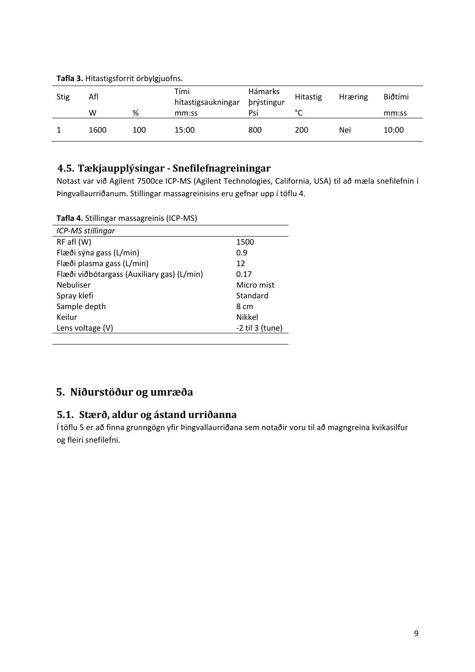| <b>Stig</b> | Afl  |     | Tími<br>hitastigsaukningar | Hámarks<br>þrýstingur | <b>Hitastig</b> | <b>Hræring</b> | Biðtími |
|-------------|------|-----|----------------------------|-----------------------|-----------------|----------------|---------|
|             | w    | %   | mm:ss                      | Psi                   | $\sim$<br>◡     |                | mm:ss   |
|             | 1600 | 100 | 15:00                      | 800                   | 200             | Nei            | 10:00   |

#### **Tafla 3.** Hitastigsforrit örbylgjuofns.

### **4.5. Tækjaupplýsingar Snefilefnagreiningar**

Notast var við Agilent 7500ce ICP‐MS (Agilent Technologies, California, USA) til að mæla snefilefnin í Þingvallaurriðanum. Stillingar massagreinisins eru gefnar upp í töflu 4.

**Tafla 4.** Stillingar massagreinis (ICP‐MS)

| ICP-MS stillingar                          |                   |
|--------------------------------------------|-------------------|
| $RF$ afl $(W)$                             | 1500              |
| Flæði sýna gass (L/min)                    | 0.9               |
| Flæði plasma gass (L/min)                  | 12                |
| Flæði viðbótargass (Auxiliary gas) (L/min) | 0.17              |
| <b>Nebuliser</b>                           | Micro mist        |
| Spray klefi                                | Standard          |
| Sample depth                               | 8 cm              |
| Keilur                                     | <b>Nikkel</b>     |
| Lens voltage (V)                           | $-2$ til 3 (tune) |
|                                            |                   |

## **5. Niðurstöður og umræða**

#### **5.1. Stærð, aldur og ástand urriðanna**

Í töflu 5 er að finna grunngögn yfir Þingvallaurriðana sem notaðir voru til að magngreina kvikasilfur og fleiri snefilefni.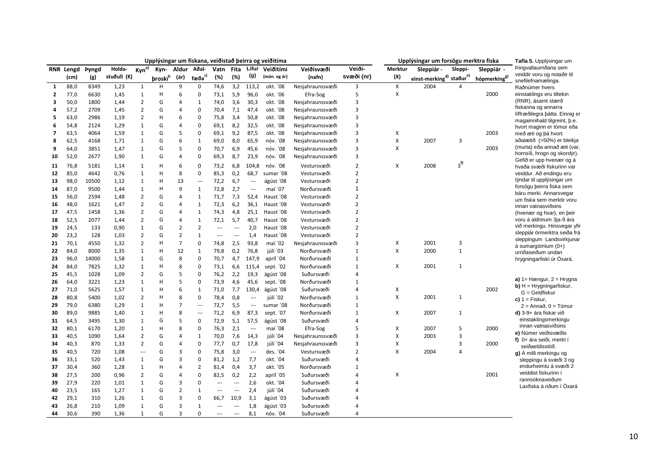|                          |                   |              | Upplýsingar um fiskana, veiðistað þeirra og veiðitíma<br>Upplýsingar um forsögu merktra fiska |                   |                 |                |                          |                |      |                          |                 | Tafla 5. Upplýsingar um |                |         |                                                  |                |                          |                                                           |
|--------------------------|-------------------|--------------|-----------------------------------------------------------------------------------------------|-------------------|-----------------|----------------|--------------------------|----------------|------|--------------------------|-----------------|-------------------------|----------------|---------|--------------------------------------------------|----------------|--------------------------|-----------------------------------------------------------|
|                          | RNR Lengd         | <b>Þyngd</b> | Holda-                                                                                        | Kyn <sup>a)</sup> | Kyn-            |                | Aldur Aðal-              | Vatn           | Fita |                          | Lifur Veiðitími | Veiðisvæði              | Veiði-         | Merktur | Sleppiár -                                       | Sleppi-        | Sleppiár -               | Þingvallaurriðana sem                                     |
|                          | (c <sub>m</sub> ) | (g)          | stuðull (K)                                                                                   |                   | <b>broski</b> b | (ár)           | fæða <sup>c)</sup>       | (%)            | (%)  | (g)                      | (mán. og ár)    | (nafn)                  | svæði (nr)     | (X)     | einst-merking <sup>d)</sup> staður <sup>e)</sup> |                | hópmerking <sup>g)</sup> | veiddir voru og notaðir til<br>snefilefnamælinga.         |
| $\mathbf{1}$             | 88,0              | 8349         | 1,23                                                                                          | $\mathbf{1}$      | н               | 9              | $\mathbf 0$              | 74,6           | 3,2  | 113,2                    | okt. '08        | Nesjahraunssvæði        | 3              | X       | 2004                                             | 4              |                          | Raðnúmer hvers                                            |
| $\overline{2}$           | 77,0              | 6630         | 1,45                                                                                          | $\mathbf{1}$      | н               | 6              | 0                        | 73,1           | 5,9  | 96,0                     | okt. '06        | Efra-Sog                | 5              | X       |                                                  |                | 2000                     | einstaklings eru tiltekin                                 |
| 3                        | 50,0              | 1800         | 1,44                                                                                          | $\overline{2}$    | G               | $\overline{4}$ | $\mathbf 1$              | 74,0           | 3,6  | 30,3                     | okt. '08        | Nesjahraunssvæði        | 3              |         |                                                  |                |                          | (RNR), ásamt stærð                                        |
| 4                        | 57,2              | 2709         | 1,45                                                                                          | $\overline{2}$    | G               | $\overline{4}$ | $\mathbf 0$              | 70,4           | 7,1  | 47,4                     | okt. '08        | Nesjahraunssvæði        | 3              |         |                                                  |                |                          | fiskanna og annarra                                       |
| 5                        | 63,0              | 2986         | 1,19                                                                                          | $\overline{2}$    | H               | 6              | $\mathsf 0$              | 75,8           | 3,4  | 50,8                     | okt. '08        | Nesjahraunssvæði        | 3              |         |                                                  |                |                          | líffræðilegra bátta. Einnig er                            |
| 6                        | 54,8              | 2124         | 1,29                                                                                          | $\mathbf{1}$      | G               | $\overline{4}$ | 0                        | 69,1           | 8,2  | 32,5                     | okt. '08        | Nesjahraunssvæði        | 3              |         |                                                  |                |                          | magainnihald tilgreint, b.e.<br>hvort maginn er tómur eða |
| $\overline{\phantom{a}}$ | 63,5              | 4064         | 1,59                                                                                          | $\mathbf{1}$      | G               | 5              | 0                        | 69,1           | 9,2  | 87,5                     | okt. '08        | Nesjahraunssvæði        | 3              | х       |                                                  |                | 2003                     | með æti og þá hvort                                       |
| 8                        | 62,5              | 4168         | 1,71                                                                                          | $\mathbf{1}$      | G               | 6              | $\mathbf{1}$             | 69,0           | 8,0  | 65,9                     | nóv. '08        | Nesjahraunssvæði        | 3              | X       | 2007                                             | 3              |                          | aðalætið (>50%) er bleikja                                |
| 9                        | 64,0              | 3851         | 1,47                                                                                          | $\mathbf 1$       | G               | 5              | $\mathsf 0$              | 70,7           | 6,9  | 45,6                     | nóv. '08        | Nesjahraunssvæði        | 3              | X       |                                                  |                | 2003                     | (murta) eða annað æti (var,                               |
| 10                       | 52,0              | 2677         | 1,90                                                                                          | $\mathbf{1}$      | G               | $\overline{4}$ | 0                        | 69,3           | 8,7  | 23,9                     | nóv. '08        | Nesjahraunssvæði        | 3              |         |                                                  |                |                          | hornsíli, hrogn og skordýr).                              |
|                          |                   | 5181         |                                                                                               | $\mathbf{1}$      | н               | 6              | 0                        |                |      | 104,8                    | nóv. '08        |                         | $\overline{2}$ | X       | 2008                                             | 3 <sup>f</sup> |                          | Gefið er upp hvenær og á                                  |
| 11                       | 76,8              |              | 1,14                                                                                          | $\mathbf{1}$      | H               | 8              | $\mathbf 0$              | 73,2           | 6,8  |                          | sumar '08       | Vestursvæði             | $\overline{2}$ |         |                                                  |                |                          | hvaða svæði fiskurinn var                                 |
| 12                       | 85,0              | 4642         | 0,76                                                                                          |                   |                 |                |                          | 85,3           | 0,2  | 68,7                     |                 | Vestursvæði             |                |         |                                                  |                |                          | veiddur. Að endingu eru<br>týndar til upplýsingar um      |
| 13                       | 98,0              | 10500        | 1,12                                                                                          | $\mathbf 1$       | H               | 13             | $\overline{\phantom{a}}$ | 72,2           | 6,7  | $\cdots$                 | ágúst '08       | Vestursvæði             | $\overline{2}$ |         |                                                  |                |                          | forsögu beirra fiska sem                                  |
| 14                       | 87,0              | 9500         | 1,44                                                                                          | $\mathbf{1}$      | н               | 9              | $\mathbf{1}$             | 72,8           | 2,7  | $\cdots$                 | maí '07         | Norðursvæði             | 1              |         |                                                  |                |                          | báru merki. Annarsvegar                                   |
| 15                       | 56,0              | 2594         | 1,48                                                                                          | $\overline{2}$    | G               | $\overline{4}$ | $\mathbf{1}$             | 71,7           | 7,3  | 52,4                     | Haust '08       | Vestursvæði             | $\overline{2}$ |         |                                                  |                |                          | um fiska sem merktir voru                                 |
| 16                       | 48,0              | 1621         | 1,47                                                                                          | $\overline{2}$    | G               | $\overline{4}$ | $\mathbf{1}$             | 72,3           | 6,2  | 36,1                     | Haust '08       | Vestursvæði             | $\overline{2}$ |         |                                                  |                |                          | innan vatnasviðsins                                       |
| 17                       | 47,5              | 1458         | 1,36                                                                                          | $\overline{2}$    | G               | $\overline{4}$ | $\mathbf{1}$             | 74,3           | 4,8  | 25,1                     | Haust '08       | Vestursvæði             | $\overline{2}$ |         |                                                  |                |                          | (hvenær og hvar), en þeir                                 |
| 18                       | 52,5              | 2077         | 1,44                                                                                          | $\overline{2}$    | G               | $\overline{4}$ | $\mathbf{1}$             | 72,1           | 5,7  | 40,7                     | Haust '08       | Vestursvæði             | $\overline{2}$ |         |                                                  |                |                          | voru á aldrinum 3ja-9 ára<br>við merkingu. Hinsvegar yfir |
| 19                       | 24,5              | 133          | 0,90                                                                                          | $\mathbf{1}$      | G               | $\overline{2}$ | $\overline{2}$           | ---            | ---  | 2,0                      | Haust '08       | Vestursvæði             | $\overline{2}$ |         |                                                  |                |                          | sleppiár örmerktra seiða frá                              |
| 20                       | 23,2              | 128          | 1,03                                                                                          | $\overline{2}$    | G               | $\mathbf 2$    | $\mathbf 1$              | ---            | ---  | 1,4                      | Haust '08       | Vestursvæði             | $\overline{2}$ |         |                                                  |                |                          | sleppingum Landsvirkjunar                                 |
| 21                       | 70,1              | 4550         | 1,32                                                                                          | $\overline{2}$    | H               | $\overline{7}$ | $\mathsf 0$              | 74,8           | 2,5  | 93,8                     | maí '02         | Nesjahraunssvæði        | 3              | х       | 2001                                             | 3              |                          | á sumargömlum (0+)                                        |
| 22                       | 84,0              | 8000         | 1,35                                                                                          | $\mathbf{1}$      | H               | 12             | $\mathbf{1}$             | 79,8           | 0,2  | 76,8                     | júlí '03        | Norðursvæði             | $\mathbf{1}$   | X       | 2000                                             | $\mathbf{1}$   |                          | urriðaseiðum undan                                        |
| 23                       | 96,0              | 14000        | 1,58                                                                                          | $\mathbf{1}$      | G               | 8              | $\mathbf 0$              | 70,7           | 4,7  | 147,9                    | apríl '04       | Norðursvæði             | $\mathbf{1}$   |         |                                                  |                |                          | hrygningarfiski úr Öxará.                                 |
| 24                       | 84,0              | 7825         | 1,32                                                                                          | $\mathbf 1$       | H               | 8              | $\mathsf 0$              | 73,1           | 6,6  | 115,4                    | sept. '02       | Norðursvæði             | $\mathbf{1}$   | X       | 2001                                             | $\mathbf{1}$   |                          |                                                           |
| 25                       | 45,5              | 1028         | 1,09                                                                                          | $\overline{2}$    | G               | 5              | 0                        | 76,2           | 2,2  | 19,3                     | ágúst '08       | Suðursvæði              | 4              |         |                                                  |                |                          | a) $1 =$ Hængur, $2 =$ Hrygna                             |
| 26                       | 64,0              | 3221         | 1,23                                                                                          | $\mathbf{1}$      | Н               | 5              | 0                        | 73,9           | 4,6  | 45,6                     | sept. '08       | Norðursvæði             | $\mathbf{1}$   |         |                                                  |                |                          | <b>b)</b> $H = Hrygningarfiskur$ ,                        |
| 27                       | 71,0              | 5625         | 1,57                                                                                          | $\mathbf{1}$      | H               | 6              | $\mathbf{1}$             | 71,0           | 7,7  | 130,4                    | ágúst '08       | Suðursvæði              | $\overline{4}$ | x       |                                                  |                | 2002                     | $G =$ Geldfiskur                                          |
| 28                       | 80,8              | 5400         | 1,02                                                                                          | $\overline{2}$    | H               | 8              | $\mathsf 0$              | 78,4           | 0,8  | $\overline{\phantom{a}}$ | júlí '02        | Norðursvæði             | $\mathbf{1}$   | X       | 2001                                             | $\mathbf{1}$   |                          | c) $1 =$ Fiskur,                                          |
| 29                       | 79,0              | 6380         | 1,29                                                                                          | $\mathbf{1}$      | н               | $\overline{7}$ | $\overline{\phantom{a}}$ | 72,7           | 5,5  | $\cdots$                 | sumar '08       | Norðursvæði             | $\mathbf{1}$   |         |                                                  |                |                          | 2 = Annað, 0 = Tómur                                      |
| 30                       | 89,0              | 9885         | 1,40                                                                                          | $\mathbf{1}$      | н               | 8              | $\overline{\phantom{a}}$ | 71,2           | 6,9  | 87,3                     | sept. '07       | Norðursvæði             | $\mathbf{1}$   | Χ       | 2007                                             | $\mathbf{1}$   |                          | d) 3-9+ ára fiskar við                                    |
| 31                       | 64,5              | 3495         | 1,30                                                                                          | $\mathbf{1}$      | G               | 5              | $\mathbf 0$              | 72,9           | 5,1  | 57,5                     | ágúst '08       | Suðursvæði              | $\overline{4}$ |         |                                                  |                |                          | einstaklingsmerkingu                                      |
| 32                       | 80,1              | 6170         | 1,20                                                                                          | $\mathbf 1$       | H               | 8              | $\pmb{0}$                | 76,3           | 2,1  | $\sim$ $\sim$            | maí '08         | Efra-Sog                | 5              | X       | 2007                                             | 5              | 2000                     | innan vatnasviðsins                                       |
| 33                       | 40,5              | 1090         | 1,64                                                                                          | $\overline{2}$    | G               | $\overline{4}$ | 1                        | 70,0           | 7,6  | 14,3                     | júlí '04        | Nesjahraunssvæði        | 3              | х       | 2003                                             | 3              |                          | e) Númer veiðisvæðis<br>f) 0+ ára seiði, merkt í          |
| 34                       | 40,3              | 870          | 1,33                                                                                          | $\overline{2}$    | G               | $\overline{4}$ | $\mathsf 0$              | 77,7           | 0,7  | 17,8                     | júlí '04        | Nesjahraunssvæði        | 3              | x       |                                                  | 3              | 2000                     | seiðaeldisstöð.                                           |
| 35                       | 40,5              | 720          | 1,08                                                                                          | $\overline{a}$    | G               | 3              | 0                        | 75,8           | 3,0  | $\overline{\phantom{a}}$ | des. '04        | Vestursvæði             | $\overline{2}$ | X       | 2004                                             | 4              |                          | g) Á milli merkingu og                                    |
| 36                       | 33,1              | 520          | 1,43                                                                                          | $\mathbf{1}$      | G               | $\overline{3}$ | 0                        | 81,2           | 1,2  | 7,7                      | okt. '04        | Suðursvæði              | $\overline{4}$ |         |                                                  |                |                          | sleppingu á svæði 3 og                                    |
| 37                       | 30,4              | 360          | 1,28                                                                                          | $\mathbf{1}$      | H               | $\overline{4}$ | $\overline{2}$           | 81,4           | 0,4  | 3,7                      | okt. '05        | Norðursvæði             | 1              |         |                                                  |                |                          | endurheimtu á svæði 2                                     |
| 38                       | 27,5              | 200          | 0,96                                                                                          | $\overline{2}$    | G               | $\overline{4}$ | 0                        | 82,5           | 0,2  | 2,2                      | apríl '05       | Suðursvæði              | 4              | X       |                                                  |                | 2001                     | veiddist fiskurinn í                                      |
| 39                       | 27,9              | 220          | 1,01                                                                                          | $\mathbf{1}$      | G               | $\overline{3}$ | 0                        | ---            | ---  | 2,6                      | okt. '04        | Suðursvæði              | 4              |         |                                                  |                |                          | rannsóknaveiðum<br>Laxfiska á riðum í Öxará               |
| 40                       | 23,5              | 165          | 1,27                                                                                          | $\mathbf 1$       | G               | $\mathbf 2$    | $\mathbf{1}$             | ---            | ---  | 2,4                      | júlí '04        | Suðursvæði              | $\overline{4}$ |         |                                                  |                |                          |                                                           |
| 42                       | 29,1              | 310          | 1,26                                                                                          | $\mathbf{1}$      | G               | 3              | 0                        | 66,7           | 10,9 | 3,1                      | ágúst '03       | Suðursvæði              | 4              |         |                                                  |                |                          |                                                           |
| 43                       | 26,8              | 210          | 1,09                                                                                          | $\mathbf{1}$      | G               | 3              | $\mathbf{1}$             | ---            | ---  | 1,8                      | ágúst '03       | Suðursvæði              | 4              |         |                                                  |                |                          |                                                           |
| 44                       | 30,6              | 390          | 1,36                                                                                          | $\mathbf{1}$      | G               | $\overline{3}$ | $\Omega$                 | $\overline{a}$ | ---  | 8,1                      | nóv. '04        | Suðursvæði              | $\overline{4}$ |         |                                                  |                |                          |                                                           |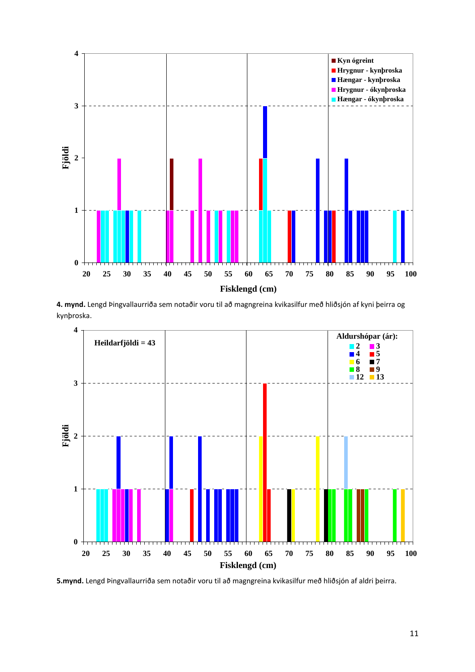

**4. mynd.** Lengd Þingvallaurriða sem notaðir voru til að magngreina kvikasilfur með hliðsjón af kyni þeirra og kynþroska.



**5.mynd.** Lengd Þingvallaurriða sem notaðir voru til að magngreina kvikasilfur með hliðsjón af aldri þeirra.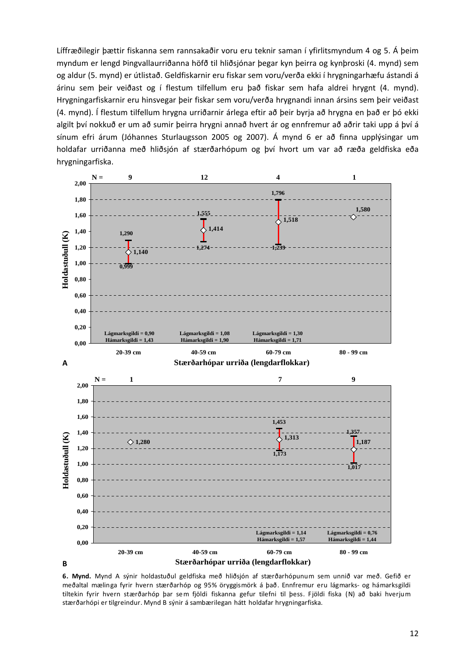Líffræðilegir þættir fiskanna sem rannsakaðir voru eru teknir saman í yfirlitsmyndum 4 og 5. Á þeim myndum er lengd Þingvallaurriðanna höfð til hliðsjónar þegar kyn þeirra og kynþroski (4. mynd) sem og aldur (5. mynd) er útlistað. Geldfiskarnir eru fiskar sem voru/verða ekki í hrygningarhæfu ástandi á árinu sem þeir veiðast og í flestum tilfellum eru það fiskar sem hafa aldrei hrygnt (4. mynd). Hrygningarfiskarnir eru hinsvegar þeir fiskar sem voru/verða hrygnandi innan ársins sem þeir veiðast (4. mynd). Í flestum tilfellum hrygna urriðarnir árlega eftir að þeir byrja að hrygna en það er þó ekki algilt því nokkuð er um að sumir þeirra hrygni annað hvert ár og ennfremur að aðrir taki upp á því á sínum efri árum (Jóhannes Sturlaugsson 2005 og 2007). Á mynd 6 er að finna upplýsingar um holdafar urriðanna með hliðsjón af stærðarhópum og því hvort um var að ræða geldfiska eða hrygningarfiska.



**6. Mynd.** Mynd A sýnir holdastuðul geldfiska með hliðsjón af stærðarhópunum sem unnið var með. Gefið er meðaltal mælinga fyrir hvern stærðarhóp og 95% öryggismörk á það. Ennfremur eru lágmarks‐ og hámarksgildi tiltekin fyrir hvern stærðarhóp þar sem fjöldi fiskanna gefur tilefni til þess. Fjöldi fiska (N) að baki hverjum stærðarhópi er tilgreindur. Mynd B sýnir á sambærilegan hátt holdafar hrygningarfiska.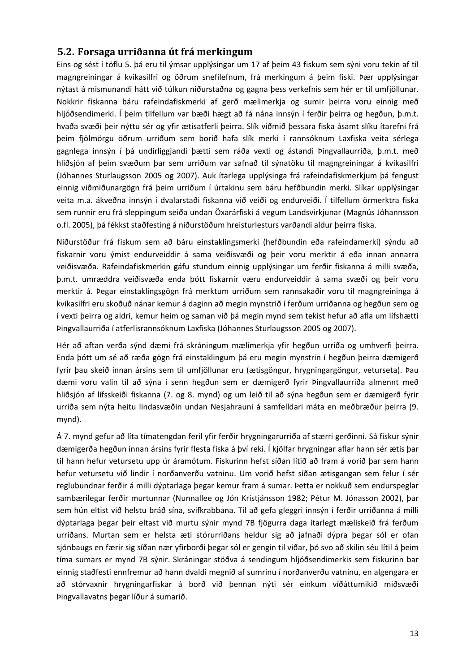#### **5.2. Forsaga urriðanna út frá merkingum**

Eins og sést í töflu 5. þá eru til ýmsar upplýsingar um 17 af þeim 43 fiskum sem sýni voru tekin af til magngreiningar á kvikasilfri og öðrum snefilefnum, frá merkingum á þeim fiski. Þær upplýsingar nýtast á mismunandi hátt við túlkun niðurstaðna og gagna þess verkefnis sem hér er til umfjöllunar. Nokkrir fiskanna báru rafeindafiskmerki af gerð mælimerkja og sumir þeirra voru einnig með hljóðsendimerki. Í þeim tilfellum var bæði hægt að fá nána innsýn í ferðir þeirra og hegðun, þ.m.t. hvaða svæði þeir nýttu sér og yfir ætisatferli þeirra. Slík viðmið þessara fiska ásamt slíku ítarefni frá þeim fjölmörgu öðrum urriðum sem borið hafa slík merki í rannsóknum Laxfiska veita sérlega gagnlega innsýn í þá undirliggjandi þætti sem ráða vexti og ástandi Þingvallaurriða, þ.m.t. með hliðsjón af þeim svæðum þar sem urriðum var safnað til sýnatöku til magngreiningar á kvikasilfri (Jóhannes Sturlaugsson 2005 og 2007). Auk ítarlega upplýsinga frá rafeindafiskmerkjum þá fengust einnig viðmiðunargögn frá þeim urriðum í úrtakinu sem báru hefðbundin merki. Slíkar upplýsingar veita m.a. ákveðna innsýn í dvalarstaði fiskanna við veiði og endurveiði. Í tilfellum örmerktra fiska sem runnir eru frá sleppingum seiða undan Öxarárfiski á vegum Landsvirkjunar (Magnús Jóhannsson o.fl. 2005), þá fékkst staðfesting á niðurstöðum hreisturlesturs varðandi aldur þeirra fiska.

Niðurstöður frá fiskum sem að báru einstaklingsmerki (hefðbundin eða rafeindamerki) sýndu að fiskarnir voru ýmist endurveiddir á sama veiðisvæði og þeir voru merktir á eða innan annarra veiðisvæða. Rafeindafiskmerkin gáfu stundum einnig upplýsingar um ferðir fiskanna á milli svæða, þ.m.t. umræddra veiðisvæða enda þótt fiskarnir væru endurveiddir á sama svæði og þeir voru merktir á. Þegar einstaklingsgögn frá merktum urriðum sem rannsakaðir voru til magngreininga á kvikasilfri eru skoðuð nánar kemur á daginn að megin mynstrið í ferðum urriðanna og hegðun sem og í vexti þeirra og aldri, kemur heim og saman við þá megin mynd sem tekist hefur að afla um lífshætti Þingvallaurriða í atferlisrannsóknum Laxfiska (Jóhannes Sturlaugsson 2005 og 2007).

Hér að aftan verða sýnd dæmi frá skráningum mælimerkja yfir hegðun urriða og umhverfi þeirra. Enda þótt um sé að ræða gögn frá einstaklingum þá eru megin mynstrin í hegðun þeirra dæmigerð fyrir þau skeið innan ársins sem til umfjöllunar eru (ætisgöngur, hrygningargöngur, veturseta). Þau dæmi voru valin til að sýna í senn hegðun sem er dæmigerð fyrir Þingvallaurriða almennt með hliðsjón af lífsskeiði fiskanna (7. og 8. mynd) og um leið til að sýna hegðun sem er dæmigerð fyrir urriða sem nýta heitu lindasvæðin undan Nesjahrauni á samfelldari máta en meðbræður þeirra (9. mynd).

Á 7. mynd gefur að líta tímatengdan feril yfir ferðir hrygningarurriða af stærri gerðinni. Sá fiskur sýnir dæmigerða hegðun innan ársins fyrir flesta fiska á því reki. Í kjölfar hrygningar aflar hann sér ætis þar til hann hefur vetursetu upp úr áramótum. Fiskurinn hefst síðan lítið að fram á vorið þar sem hann hefur vetursetu við lindir í norðanverðu vatninu. Um vorið hefst síðan ætisgangan sem felur í sér reglubundnar ferðir á milli dýptarlaga þegar kemur fram á sumar. Þetta er nokkuð sem endurspeglar sambærilegar ferðir murtunnar (Nunnallee og Jón Kristjánsson 1982; Pétur M. Jónasson 2002), þar sem hún eltist við helstu bráð sína, svifkrabbana. Til að gefa gleggri innsýn í ferðir urriðanna á milli dýptarlaga þegar þeir eltast við murtu sýnir mynd 7B fjögurra daga ítarlegt mæliskeið frá ferðum urriðans. Murtan sem er helsta æti stórurriðans heldur sig að jafnaði dýpra þegar sól er ofan sjónbaugs en færir sig síðan nær yfirborði þegar sól er gengin til viðar, þó svo að skilin séu lítil á þeim tíma sumars er mynd 7B sýnir. Skráningar stöðva á sendingum hljóðsendimerkis sem fiskurinn bar einnig staðfesti ennfremur að hann dvaldi megnið af sumrinu í norðanverðu vatninu, en algengara er að stórvaxnir hrygningarfiskar á borð við þennan nýti sér einkum víðáttumikið miðsvæði Þingvallavatns þegar líður á sumarið.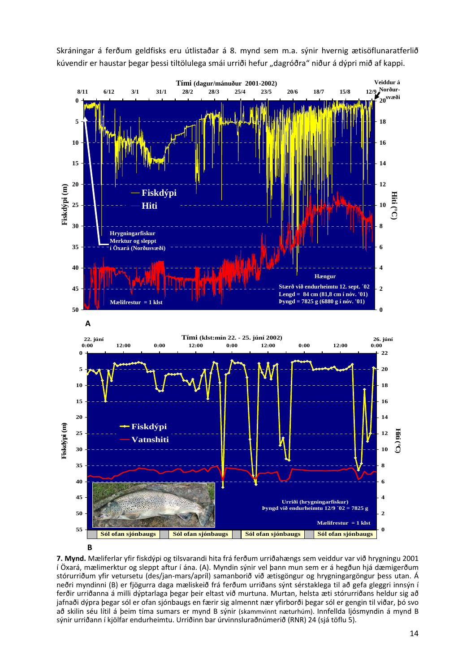Skráningar á ferðum geldfisks eru útlistaðar á 8. mynd sem m.a. sýnir hvernig ætisöflunaratferlið kúvendir er haustar þegar þessi tiltölulega smái urriði hefur "dagróðra" niður á dýpri mið af kappi.



**B**

**7. Mynd.** Mæliferlar yfir fiskdýpi og tilsvarandi hita frá ferðum urriðahængs sem veiddur var við hrygningu 2001 í Öxará, mælimerktur og sleppt aftur í ána. (A). Myndin sýnir vel þann mun sem er á hegðun hjá dæmigerðum stórurriðum yfir vetursetu (des/jan‐mars/apríl) samanborið við ætisgöngur og hrygningargöngur þess utan. Á neðri myndinni (B) er fjögurra daga mæliskeið frá ferðum urriðans sýnt sérstaklega til að gefa gleggri innsýn í ferðir urriðanna á milli dýptarlaga þegar þeir eltast við murtuna. Murtan, helsta æti stórurriðans heldur sig að jafnaði dýpra þegar sól er ofan sjónbaugs en færir sig almennt nær yfirborði þegar sól er gengin til viðar, þó svo að skilin séu lítil á þeim tíma sumars er mynd B sýnir (skammvinnt næturhúm). Innfellda ljósmyndin á mynd B sýnir urriðann í kjölfar endurheimtu. Urriðinn bar úrvinnsluraðnúmerið (RNR) 24 (sjá töflu 5).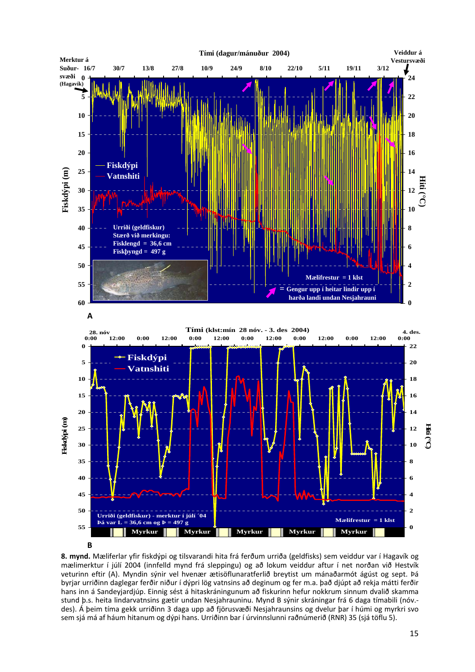

**B**

**8. mynd.** Mæliferlar yfir fiskdýpi og tilsvarandi hita frá ferðum urriða (geldfisks) sem veiddur var í Hagavík og mælimerktur í júlí 2004 (innfelld mynd frá sleppingu) og að lokum veiddur aftur í net norðan við Hestvík veturinn eftir (A). Myndin sýnir vel hvenær ætisöflunaratferlið breytist um mánaðarmót ágúst og sept. Þá byrjar urriðinn daglegar ferðir niður í dýpri lög vatnsins að deginum og fer m.a. það djúpt að rekja mátti ferðir hans inn á Sandeyjardjúp. Einnig sést á hitaskráningunum að fiskurinn hefur nokkrum sinnum dvalið skamma stund þ.s. heita lindarvatnsins gætir undan Nesjahrauninu. Mynd B sýnir skráningar frá 6 daga tímabili (nóv.‐ des). Á þeim tíma gekk urriðinn 3 daga upp að fjörusvæði Nesjahraunsins og dvelur þar í húmi og myrkri svo sem sjá má af háum hitanum og dýpi hans. Urriðinn bar í úrvinnslunni raðnúmerið (RNR) 35 (sjá töflu 5).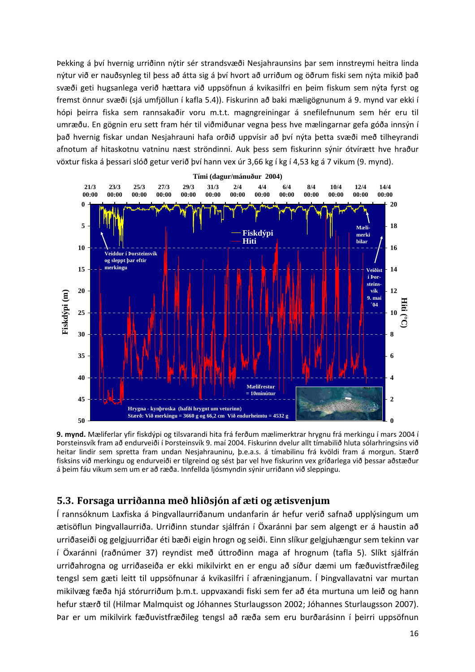Þekking á því hvernig urriðinn nýtir sér strandsvæði Nesjahraunsins þar sem innstreymi heitra linda nýtur við er nauðsynleg til þess að átta sig á því hvort að urriðum og öðrum fiski sem nýta mikið það svæði geti hugsanlega verið hættara við uppsöfnun á kvikasilfri en þeim fiskum sem nýta fyrst og fremst önnur svæði (sjá umfjöllun í kafla 5.4)). Fiskurinn að baki mæligögnunum á 9. mynd var ekki í hópi þeirra fiska sem rannsakaðir voru m.t.t. magngreiningar á snefilefnunum sem hér eru til umræðu. En gögnin eru sett fram hér til viðmiðunar vegna þess hve mælingarnar gefa góða innsýn í það hvernig fiskar undan Nesjahrauni hafa orðið uppvísir að því nýta þetta svæði með tilheyrandi afnotum af hitaskotnu vatninu næst ströndinni. Auk þess sem fiskurinn sýnir ótvírætt hve hraður vöxtur fiska á þessari slóð getur verið því hann vex úr 3,66 kg í kg í 4,53 kg á 7 vikum (9. mynd).



**9. mynd.** Mæliferlar yfir fiskdýpi og tilsvarandi hita frá ferðum mælimerktrar hrygnu frá merkingu í mars 2004 í Þorsteinsvík fram að endurveiði í Þorsteinsvík 9. maí 2004. Fiskurinn dvelur allt tímabilið hluta sólarhringsins við heitar lindir sem spretta fram undan Nesjahrauninu, þ.e.a.s. á tímabilinu frá kvöldi fram á morgun. Stærð fisksins við merkingu og endurveiði er tilgreind og sést þar vel hve fiskurinn vex gríðarlega við þessar aðstæður á þeim fáu vikum sem um er að ræða. Innfellda ljósmyndin sýnir urriðann við sleppingu.

#### **5.3. Forsaga urriðanna með hliðsjón af æti og ætisvenjum**

Í rannsóknum Laxfiska á Þingvallaurriðanum undanfarin ár hefur verið safnað upplýsingum um ætisöflun Þingvallaurriða. Urriðinn stundar sjálfrán í Öxaránni þar sem algengt er á haustin að urriðaseiði og gelgjuurriðar éti bæði eigin hrogn og seiði. Einn slíkur gelgjuhængur sem tekinn var í Öxaránni (raðnúmer 37) reyndist með úttroðinn maga af hrognum (tafla 5). Slíkt sjálfrán urriðahrogna og urriðaseiða er ekki mikilvirkt en er engu að síður dæmi um fæðuvistfræðileg tengsl sem gæti leitt til uppsöfnunar á kvikasilfri í afræningjanum. Í Þingvallavatni var murtan mikilvæg fæða hjá stórurriðum þ.m.t. uppvaxandi fiski sem fer að éta murtuna um leið og hann hefur stærð til (Hilmar Malmquist og Jóhannes Sturlaugsson 2002; Jóhannes Sturlaugsson 2007). Þar er um mikilvirk fæðuvistfræðileg tengsl að ræða sem eru burðarásinn í þeirri uppsöfnun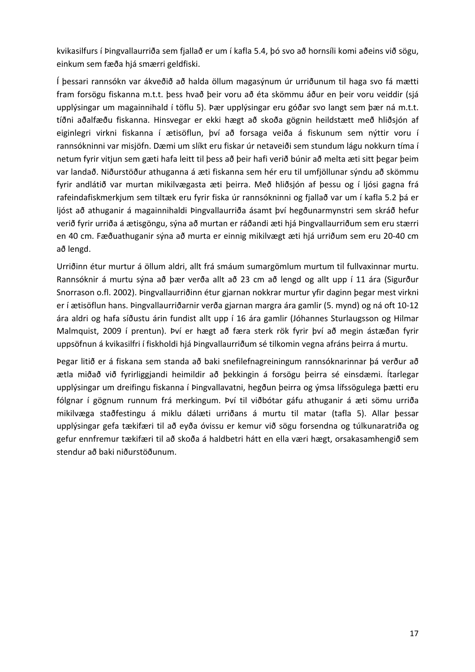kvikasilfurs í Þingvallaurriða sem fjallað er um í kafla 5.4, þó svo að hornsíli komi aðeins við sögu, einkum sem fæða hjá smærri geldfiski.

Í þessari rannsókn var ákveðið að halda öllum magasýnum úr urriðunum til haga svo fá mætti fram forsögu fiskanna m.t.t. þess hvað þeir voru að éta skömmu áður en þeir voru veiddir (sjá upplýsingar um magainnihald í töflu 5). Þær upplýsingar eru góðar svo langt sem þær ná m.t.t. tíðni aðalfæðu fiskanna. Hinsvegar er ekki hægt að skoða gögnin heildstætt með hliðsjón af eiginlegri virkni fiskanna í ætisöflun, því að forsaga veiða á fiskunum sem nýttir voru í rannsókninni var misjöfn. Dæmi um slíkt eru fiskar úr netaveiði sem stundum lágu nokkurn tíma í netum fyrir vitjun sem gæti hafa leitt til þess að þeir hafi verið búnir að melta æti sitt þegar þeim var landað. Niðurstöður athuganna á æti fiskanna sem hér eru til umfjöllunar sýndu að skömmu fyrir andlátið var murtan mikilvægasta æti þeirra. Með hliðsjón af þessu og í ljósi gagna frá rafeindafiskmerkjum sem tiltæk eru fyrir fiska úr rannsókninni og fjallað var um í kafla 5.2 þá er ljóst að athuganir á magainnihaldi Þingvallaurriða ásamt því hegðunarmynstri sem skráð hefur verið fyrir urriða á ætisgöngu, sýna að murtan er ráðandi æti hjá Þingvallaurriðum sem eru stærri en 40 cm. Fæðuathuganir sýna að murta er einnig mikilvægt æti hjá urriðum sem eru 20‐40 cm að lengd.

Urriðinn étur murtur á öllum aldri, allt frá smáum sumargömlum murtum til fullvaxinnar murtu. Rannsóknir á murtu sýna að þær verða allt að 23 cm að lengd og allt upp í 11 ára (Sigurður Snorrason o.fl. 2002). Þingvallaurriðinn étur gjarnan nokkrar murtur yfir daginn þegar mest virkni er í ætisöflun hans. Þingvallaurriðarnir verða gjarnan margra ára gamlir (5. mynd) og ná oft 10‐12 ára aldri og hafa síðustu árin fundist allt upp í 16 ára gamlir (Jóhannes Sturlaugsson og Hilmar Malmquist, 2009 í prentun). Því er hægt að færa sterk rök fyrir því að megin ástæðan fyrir uppsöfnun á kvikasilfri í fiskholdi hjá Þingvallaurriðum sé tilkomin vegna afráns þeirra á murtu.

Þegar litið er á fiskana sem standa að baki snefilefnagreiningum rannsóknarinnar þá verður að ætla miðað við fyrirliggjandi heimildir að þekkingin á forsögu þeirra sé einsdæmi. Ítarlegar upplýsingar um dreifingu fiskanna í Þingvallavatni, hegðun þeirra og ýmsa lífssögulega þætti eru fólgnar í gögnum runnum frá merkingum. Því til viðbótar gáfu athuganir á æti sömu urriða mikilvæga staðfestingu á miklu dálæti urriðans á murtu til matar (tafla 5). Allar þessar upplýsingar gefa tækifæri til að eyða óvissu er kemur við sögu forsendna og túlkunaratriða og gefur ennfremur tækifæri til að skoða á haldbetri hátt en ella væri hægt, orsakasamhengið sem stendur að baki niðurstöðunum.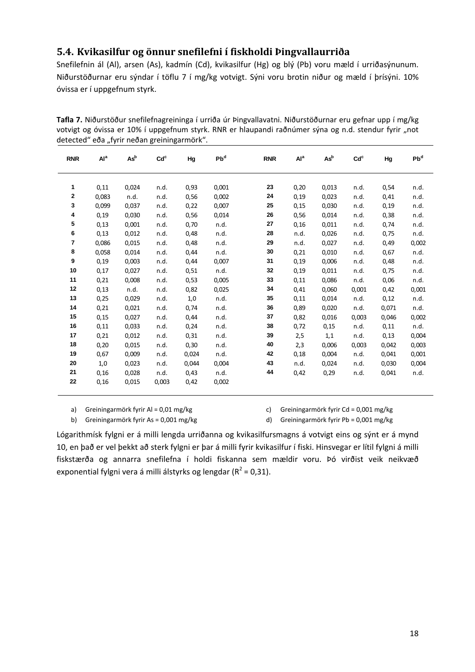#### **5.4. Kvikasilfur og önnur snefilefni í fiskholdi Þingvallaurriða**

Snefilefnin ál (Al), arsen (As), kadmín (Cd), kvikasilfur (Hg) og blý (Pb) voru mæld í urriðasýnunum. Niðurstöðurnar eru sýndar í töflu 7 í mg/kg votvigt. Sýni voru brotin niður og mæld í þrísýni. 10% óvissa er í uppgefnum styrk.

**Tafla 7.** Niðurstöður snefilefnagreininga í urriða úr Þingvallavatni. Niðurstöðurnar eru gefnar upp í mg/kg votvigt og óvissa er 10% í uppgefnum styrk. RNR er hlaupandi raðnúmer sýna og n.d. stendur fyrir "not detected" eða "fyrir neðan greiningarmörk".

| <b>RNR</b>   | Al <sup>a</sup> | $\mathsf{As}^{\mathsf{b}}$ | Cd <sub>c</sub> | Hg    | Pb <sup>d</sup> | <b>RNR</b> | Al <sup>a</sup> | $\mathsf{As}^{\mathsf{b}}$ | Cd <sup>c</sup> | Hg    | Pb <sup>d</sup> |
|--------------|-----------------|----------------------------|-----------------|-------|-----------------|------------|-----------------|----------------------------|-----------------|-------|-----------------|
|              |                 |                            |                 |       |                 |            |                 |                            |                 |       |                 |
| 1            | 0,11            | 0,024                      | n.d.            | 0,93  | 0,001           | 23         | 0,20            | 0,013                      | n.d.            | 0,54  | n.d.            |
| $\mathbf{2}$ | 0,083           | n.d.                       | n.d.            | 0,56  | 0,002           | 24         | 0,19            | 0,023                      | n.d.            | 0,41  | n.d.            |
| 3            | 0,099           | 0,037                      | n.d.            | 0,22  | 0,007           | 25         | 0,15            | 0,030                      | n.d.            | 0,19  | n.d.            |
| 4            | 0,19            | 0,030                      | n.d.            | 0,56  | 0,014           | 26         | 0,56            | 0,014                      | n.d.            | 0,38  | n.d.            |
| 5            | 0,13            | 0,001                      | n.d.            | 0,70  | n.d.            | 27         | 0,16            | 0,011                      | n.d.            | 0,74  | n.d.            |
| 6            | 0,13            | 0,012                      | n.d.            | 0,48  | n.d.            | 28         | n.d.            | 0,026                      | n.d.            | 0,75  | n.d.            |
| 7            | 0,086           | 0,015                      | n.d.            | 0,48  | n.d.            | 29         | n.d.            | 0,027                      | n.d.            | 0,49  | 0,002           |
| 8            | 0,058           | 0,014                      | n.d.            | 0,44  | n.d.            | 30         | 0,21            | 0,010                      | n.d.            | 0,67  | n.d.            |
| 9            | 0,19            | 0,003                      | n.d.            | 0,44  | 0,007           | 31         | 0,19            | 0,006                      | n.d.            | 0,48  | n.d.            |
| 10           | 0,17            | 0,027                      | n.d.            | 0,51  | n.d.            | 32         | 0,19            | 0,011                      | n.d.            | 0,75  | n.d.            |
| 11           | 0,21            | 0,008                      | n.d.            | 0,53  | 0,005           | 33         | 0,11            | 0,086                      | n.d.            | 0,06  | n.d.            |
| 12           | 0,13            | n.d.                       | n.d.            | 0,82  | 0,025           | 34         | 0,41            | 0,060                      | 0,001           | 0,42  | 0,001           |
| 13           | 0,25            | 0,029                      | n.d.            | 1,0   | n.d.            | 35         | 0,11            | 0,014                      | n.d.            | 0,12  | n.d.            |
| 14           | 0,21            | 0,021                      | n.d.            | 0,74  | n.d.            | 36         | 0,89            | 0,020                      | n.d.            | 0,071 | n.d.            |
| 15           | 0,15            | 0,027                      | n.d.            | 0,44  | n.d.            | 37         | 0,82            | 0,016                      | 0,003           | 0,046 | 0,002           |
| 16           | 0,11            | 0,033                      | n.d.            | 0,24  | n.d.            | 38         | 0,72            | 0,15                       | n.d.            | 0,11  | n.d.            |
| 17           | 0,21            | 0,012                      | n.d.            | 0,31  | n.d.            | 39         | 2,5             | 1,1                        | n.d.            | 0,13  | 0,004           |
| 18           | 0,20            | 0,015                      | n.d.            | 0,30  | n.d.            | 40         | 2,3             | 0,006                      | 0,003           | 0,042 | 0,003           |
| 19           | 0,67            | 0,009                      | n.d.            | 0,024 | n.d.            | 42         | 0,18            | 0,004                      | n.d.            | 0,041 | 0,001           |
| 20           | 1,0             | 0,023                      | n.d.            | 0,044 | 0,004           | 43         | n.d.            | 0,024                      | n.d.            | 0,030 | 0,004           |
| 21           | 0,16            | 0,028                      | n.d.            | 0,43  | n.d.            | 44         | 0,42            | 0,29                       | n.d.            | 0,041 | n.d.            |
| 22           | 0,16            | 0,015                      | 0,003           | 0,42  | 0,002           |            |                 |                            |                 |       |                 |

a) Greiningarmörk fyrir Al = 0,01 mg/kg

c) Greiningarmörk fyrir Cd = 0,001 mg/kg

b) Greiningarmörk fyrir As = 0,001 mg/kg

d) Greiningarmörk fyrir Pb = 0,001 mg/kg

Lógarithmísk fylgni er á milli lengda urriðanna og kvikasilfursmagns á votvigt eins og sýnt er á mynd 10, en það er vel þekkt að sterk fylgni er þar á milli fyrir kvikasilfur í fiski. Hinsvegar er lítil fylgni á milli fiskstærða og annarra snefilefna í holdi fiskanna sem mældir voru. Þó virðist veik neikvæð exponential fylgni vera á milli álstyrks og lengdar ( $R^2$  = 0,31).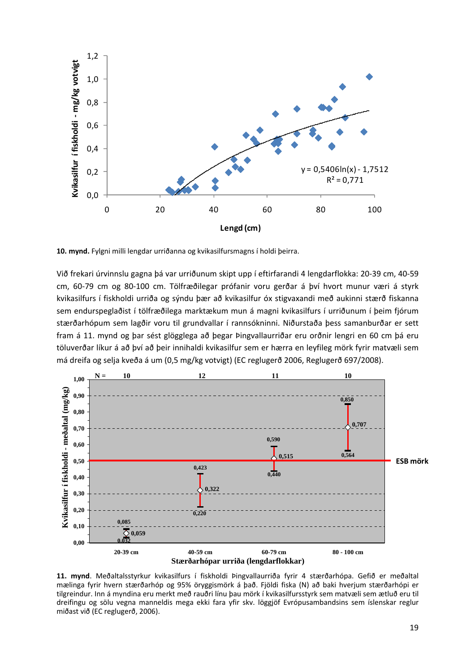

**10. mynd.** Fylgni milli lengdar urriðanna og kvikasilfursmagns í holdi þeirra.

Við frekari úrvinnslu gagna þá var urriðunum skipt upp í eftirfarandi 4 lengdarflokka: 20‐39 cm, 40‐59 cm, 60‐79 cm og 80‐100 cm. Tölfræðilegar prófanir voru gerðar á því hvort munur væri á styrk kvikasilfurs í fiskholdi urriða og sýndu þær að kvikasilfur óx stigvaxandi með aukinni stærð fiskanna sem endurspeglaðist í tölfræðilega marktækum mun á magni kvikasilfurs í urriðunum í þeim fjórum stærðarhópum sem lagðir voru til grundvallar í rannsókninni. Niðurstaða þess samanburðar er sett fram á 11. mynd og þar sést glögglega að þegar Þingvallaurriðar eru orðnir lengri en 60 cm þá eru töluverðar líkur á að því að þeir innihaldi kvikasilfur sem er hærra en leyfileg mörk fyrir matvæli sem má dreifa og selja kveða á um (0,5 mg/kg votvigt) (EC reglugerð 2006, Reglugerð 697/2008).



**11. mynd**. Meðaltalsstyrkur kvikasilfurs í fiskholdi Þingvallaurriða fyrir 4 stærðarhópa. Gefið er meðaltal mælinga fyrir hvern stærðarhóp og 95% öryggismörk á það. Fjöldi fiska (N) að baki hverjum stærðarhópi er tilgreindur. Inn á myndina eru merkt með rauðri línu þau mörk í kvikasilfursstyrk sem matvæli sem ætluð eru til dreifingu og sölu vegna manneldis mega ekki fara yfir skv. löggjöf Evrópusambandsins sem íslenskar reglur miðast við (EC reglugerð, 2006).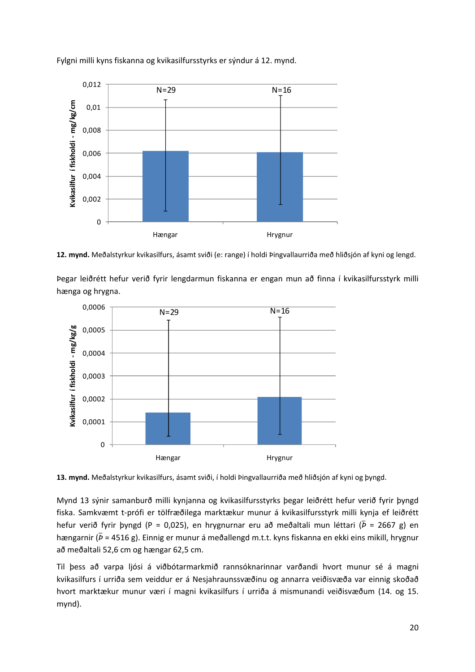

Fylgni milli kyns fiskanna og kvikasilfursstyrks er sýndur á 12. mynd.

**12. mynd.** Meðalstyrkur kvikasilfurs, ásamt sviði (e: range) í holdi Þingvallaurriða með hliðsjón af kyni og lengd.

Þegar leiðrétt hefur verið fyrir lengdarmun fiskanna er engan mun að finna í kvikasilfursstyrk milli hænga og hrygna.



**13. mynd.** Meðalstyrkur kvikasilfurs, ásamt sviði, í holdi Þingvallaurriða með hliðsjón af kyni og þyngd.

Mynd 13 sýnir samanburð milli kynjanna og kvikasilfursstyrks þegar leiðrétt hefur verið fyrir þyngd fiska. Samkvæmt t‐prófi er tölfræðilega marktækur munur á kvikasilfursstyrk milli kynja ef leiðrétt hefur verið fyrir þyngd (P = 0,025), en hrygnurnar eru að meðaltali mun léttari ( $\bar{p}$  = 2667 g) en hængarnir (*Þ*ത = 4516 g). Einnig er munur á meðallengd m.t.t. kyns fiskanna en ekki eins mikill, hrygnur að meðaltali 52,6 cm og hængar 62,5 cm.

Til þess að varpa ljósi á viðbótarmarkmið rannsóknarinnar varðandi hvort munur sé á magni kvikasilfurs í urriða sem veiddur er á Nesjahraunssvæðinu og annarra veiðisvæða var einnig skoðað hvort marktækur munur væri í magni kvikasilfurs í urriða á mismunandi veiðisvæðum (14. og 15. mynd).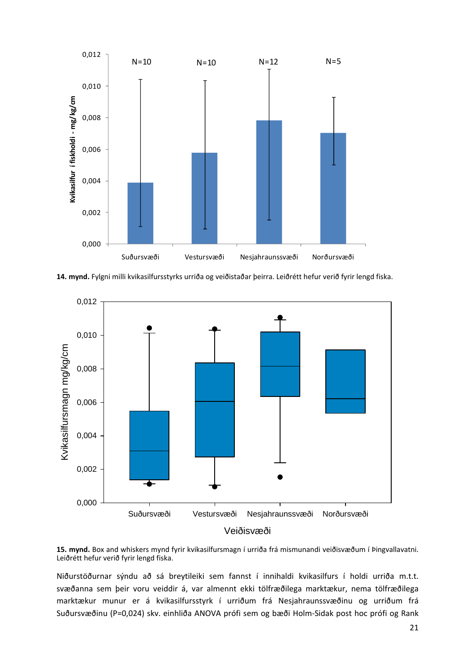

**14. mynd.** Fylgni milli kvikasilfursstyrks urriða og veiðistaðar þeirra. Leiðrétt hefur verið fyrir lengd fiska.



**15. mynd.** Box and whiskers mynd fyrir kvikasilfursmagn í urriða frá mismunandi veiðisvæðum í Þingvallavatni. Leiðrétt hefur verið fyrir lengd fiska.

Niðurstöðurnar sýndu að sá breytileiki sem fannst í innihaldi kvikasilfurs í holdi urriða m.t.t. svæðanna sem þeir voru veiddir á, var almennt ekki tölfræðilega marktækur, nema tölfræðilega marktækur munur er á kvikasilfursstyrk í urriðum frá Nesjahraunssvæðinu og urriðum frá Suðursvæðinu (P=0,024) skv. einhliða ANOVA prófi sem og bæði Holm‐Sidak post hoc prófi og Rank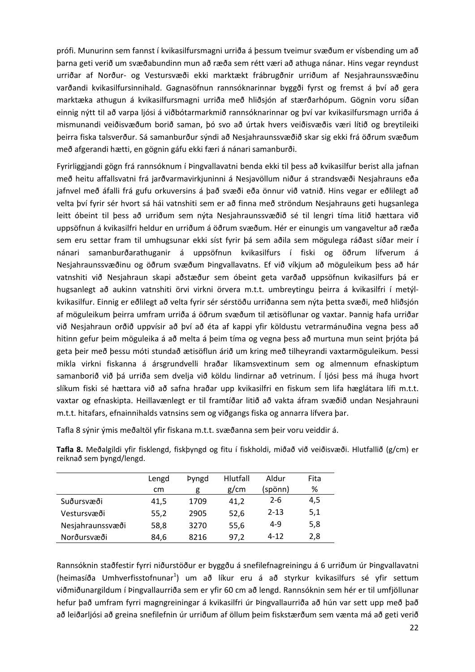prófi. Munurinn sem fannst í kvikasilfursmagni urriða á þessum tveimur svæðum er vísbending um að þarna geti verið um svæðabundinn mun að ræða sem rétt væri að athuga nánar. Hins vegar reyndust urriðar af Norður‐ og Vestursvæði ekki marktækt frábrugðnir urriðum af Nesjahraunssvæðinu varðandi kvikasilfursinnihald. Gagnasöfnun rannsóknarinnar byggði fyrst og fremst á því að gera marktæka athugun á kvikasilfursmagni urriða með hliðsjón af stærðarhópum. Gögnin voru síðan einnig nýtt til að varpa ljósi á viðbótarmarkmið rannsóknarinnar og því var kvikasilfursmagn urriða á mismunandi veiðisvæðum borið saman, þó svo að úrtak hvers veiðisvæðis væri lítið og breytileiki þeirra fiska talsverður. Sá samanburður sýndi að Nesjahraunssvæðið skar sig ekki frá öðrum svæðum með afgerandi hætti, en gögnin gáfu ekki færi á nánari samanburði.

Fyrirliggjandi gögn frá rannsóknum í Þingvallavatni benda ekki til þess að kvikasilfur berist alla jafnan með heitu affallsvatni frá jarðvarmavirkjuninni á Nesjavöllum niður á strandsvæði Nesjahrauns eða jafnvel með áfalli frá gufu orkuversins á það svæði eða önnur við vatnið. Hins vegar er eðlilegt að velta því fyrir sér hvort sá hái vatnshiti sem er að finna með ströndum Nesjahrauns geti hugsanlega leitt óbeint til þess að urriðum sem nýta Nesjahraunssvæðið sé til lengri tíma litið hættara við uppsöfnun á kvikasilfri heldur en urriðum á öðrum svæðum. Hér er einungis um vangaveltur að ræða sem eru settar fram til umhugsunar ekki síst fyrir þá sem aðila sem mögulega ráðast síðar meir í nánari samanburðarathuganir á uppsöfnun kvikasilfurs í fiski og öðrum lífverum á Nesjahraunssvæðinu og öðrum svæðum Þingvallavatns. Ef við víkjum að möguleikum þess að hár vatnshiti við Nesjahraun skapi aðstæður sem óbeint geta varðað uppsöfnun kvikasilfurs þá er hugsanlegt að aukinn vatnshiti örvi virkni örvera m.t.t. umbreytingu þeirra á kvikasilfri í metýlkvikasilfur. Einnig er eðlilegt að velta fyrir sér sérstöðu urriðanna sem nýta þetta svæði, með hliðsjón af möguleikum þeirra umfram urriða á öðrum svæðum til ætisöflunar og vaxtar. Þannig hafa urriðar við Nesjahraun orðið uppvísir að því að éta af kappi yfir köldustu vetrarmánuðina vegna þess að hitinn gefur þeim möguleika á að melta á þeim tíma og vegna þess að murtuna mun seint þrjóta þá geta þeir með þessu móti stundað ætisöflun árið um kring með tilheyrandi vaxtarmöguleikum. Þessi mikla virkni fiskanna á ársgrundvelli hraðar líkamsvextinum sem og almennum efnaskiptum samanborið við þá urriða sem dvelja við köldu lindirnar að vetrinum. Í ljósi þess má íhuga hvort slíkum fiski sé hættara við að safna hraðar upp kvikasilfri en fiskum sem lifa hæglátara lífi m.t.t. vaxtar og efnaskipta. Heillavænlegt er til framtíðar litið að vakta áfram svæðið undan Nesjahrauni m.t.t. hitafars, efnainnihalds vatnsins sem og viðgangs fiska og annarra lífvera þar.

Tafla 8 sýnir ýmis meðaltöl yfir fiskana m.t.t. svæðanna sem þeir voru veiddir á.

**Tafla 8.** Meðalgildi yfir fisklengd, fiskþyngd og fitu í fiskholdi, miðað við veiðisvæði. Hlutfallið (g/cm) er reiknað sem þyngd/lengd.

|                  | Lengd | <b>Pyngd</b> | <b>Hlutfall</b> | Aldur    | Fita |
|------------------|-------|--------------|-----------------|----------|------|
|                  | cm    | g            | g/cm            | (spönn)  | %    |
| Suðursvæði       | 41,5  | 1709         | 41,2            | $2 - 6$  | 4,5  |
| Vestursvæði      | 55,2  | 2905         | 52,6            | $2 - 13$ | 5,1  |
| Nesjahraunssvæði | 58,8  | 3270         | 55,6            | $4 - 9$  | 5,8  |
| Norðursvæði      | 84,6  | 8216         | 97,2            | $4 - 12$ | 2,8  |

Rannsóknin staðfestir fyrri niðurstöður er byggðu á snefilefnagreiningu á 6 urriðum úr Þingvallavatni (heimasíða Umhverfisstofnunar<sup>1</sup>) um að líkur eru á að styrkur kvikasilfurs sé yfir settum viðmiðunargildum í Þingvallaurriða sem er yfir 60 cm að lengd. Rannsóknin sem hér er til umfjöllunar hefur það umfram fyrri magngreiningar á kvikasilfri úr Þingvallaurriða að hún var sett upp með það að leiðarljósi að greina snefilefnin úr urriðum af öllum þeim fiskstærðum sem vænta má að geti verið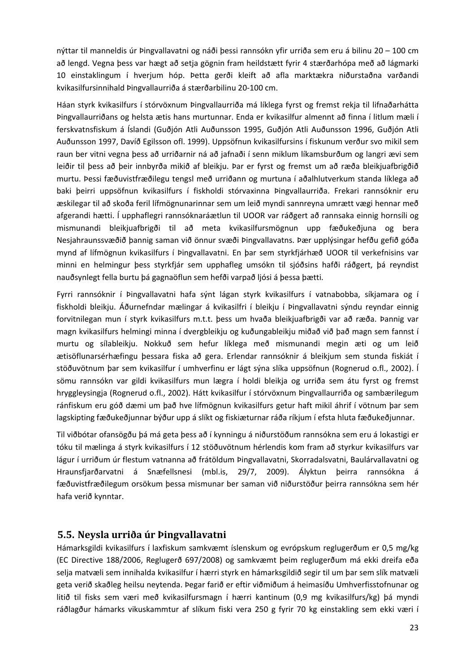nýttar til manneldis úr Þingvallavatni og náði þessi rannsókn yfir urriða sem eru á bilinu 20 – 100 cm að lengd. Vegna þess var hægt að setja gögnin fram heildstætt fyrir 4 stærðarhópa með að lágmarki 10 einstaklingum í hverjum hóp. Þetta gerði kleift að afla marktækra niðurstaðna varðandi kvikasilfursinnihald Þingvallaurriða á stærðarbilinu 20‐100 cm.

Háan styrk kvikasilfurs í stórvöxnum Þingvallaurriða má líklega fyrst og fremst rekja til lifnaðarhátta Þingvallaurriðans og helsta ætis hans murtunnar. Enda er kvikasilfur almennt að finna í litlum mæli í ferskvatnsfiskum á Íslandi (Guðjón Atli Auðunsson 1995, Guðjón Atli Auðunsson 1996, Guðjón Atli Auðunsson 1997, Davíð Egilsson ofl. 1999). Uppsöfnun kvikasilfursins í fiskunum verður svo mikil sem raun ber vitni vegna þess að urriðarnir ná að jafnaði í senn miklum líkamsburðum og langri ævi sem leiðir til þess að þeir innbyrða mikið af bleikju. Þar er fyrst og fremst um að ræða bleikjuafbrigðið murtu. Þessi fæðuvistfræðilegu tengsl með urriðann og murtuna í aðalhlutverkum standa líklega að baki þeirri uppsöfnun kvikasilfurs í fiskholdi stórvaxinna Þingvallaurriða. Frekari rannsóknir eru æskilegar til að skoða feril lífmögnunarinnar sem um leið myndi sannreyna umrætt vægi hennar með afgerandi hætti. Í upphaflegri rannsóknaráætlun til UOOR var ráðgert að rannsaka einnig hornsíli og mismunandi bleikjuafbrigði til að meta kvikasilfursmögnun upp fæðukeðjuna og bera Nesjahraunssvæðið þannig saman við önnur svæði Þingvallavatns. Þær upplýsingar hefðu gefið góða mynd af lífmögnun kvikasilfurs í Þingvallavatni. En þar sem styrkfjárhæð UOOR til verkefnisins var minni en helmingur þess styrkfjár sem upphafleg umsókn til sjóðsins hafði ráðgert, þá reyndist nauðsynlegt fella burtu þá gagnaöflun sem hefði varpað ljósi á þessa þætti.

Fyrri rannsóknir í Þingvallavatni hafa sýnt lágan styrk kvikasilfurs í vatnabobba, síkjamara og í fiskholdi bleikju. Áðurnefndar mælingar á kvikasilfri í bleikju í Þingvallavatni sýndu reyndar einnig forvitnilegan mun í styrk kvikasilfurs m.t.t. þess um hvaða bleikjuafbrigði var að ræða. Þannig var magn kvikasilfurs helmingi minna í dvergbleikju og kuðungableikju miðað við það magn sem fannst í murtu og sílableikju. Nokkuð sem hefur líklega með mismunandi megin æti og um leið ætisöflunarsérhæfingu þessara fiska að gera. Erlendar rannsóknir á bleikjum sem stunda fiskiát í stöðuvötnum þar sem kvikasilfur í umhverfinu er lágt sýna slíka uppsöfnun (Rognerud o.fl., 2002). Í sömu rannsókn var gildi kvikasilfurs mun lægra í holdi bleikja og urriða sem átu fyrst og fremst hryggleysingja (Rognerud o.fl., 2002). Hátt kvikasilfur í stórvöxnum Þingvallaurriða og sambærilegum ránfiskum eru góð dæmi um það hve lífmögnun kvikasilfurs getur haft mikil áhrif í vötnum þar sem lagskipting fæðukeðjunnar býður upp á slíkt og fiskiæturnar ráða ríkjum í efsta hluta fæðukeðjunnar.

Til viðbótar ofansögðu þá má geta þess að í kynningu á niðurstöðum rannsókna sem eru á lokastigi er tóku til mælinga á styrk kvikasilfurs í 12 stöðuvötnum hérlendis kom fram að styrkur kvikasilfurs var lágur í urriðum úr flestum vatnanna að frátöldum Þingvallavatni, Skorradalsvatni, Baulárvallavatni og Hraunsfjarðarvatni á Snæfellsnesi (mbl.is, 29/7, 2009). Ályktun þeirra rannsókna á fæðuvistfræðilegum orsökum þessa mismunar ber saman við niðurstöður þeirra rannsókna sem hér hafa verið kynntar.

#### **5.5. Neysla urriða úr Þingvallavatni**

Hámarksgildi kvikasilfurs í laxfiskum samkvæmt íslenskum og evrópskum reglugerðum er 0,5 mg/kg (EC Directive 188/2006, Reglugerð 697/2008) og samkvæmt þeim reglugerðum má ekki dreifa eða selja matvæli sem innihalda kvikasilfur í hærri styrk en hámarksgildið segir til um þar sem slík matvæli geta verið skaðleg heilsu neytenda. Þegar farið er eftir viðmiðum á heimasíðu Umhverfisstofnunar og litið til fisks sem væri með kvikasilfursmagn í hærri kantinum (0,9 mg kvikasilfurs/kg) þá myndi ráðlagður hámarks vikuskammtur af slíkum fiski vera 250 g fyrir 70 kg einstakling sem ekki væri í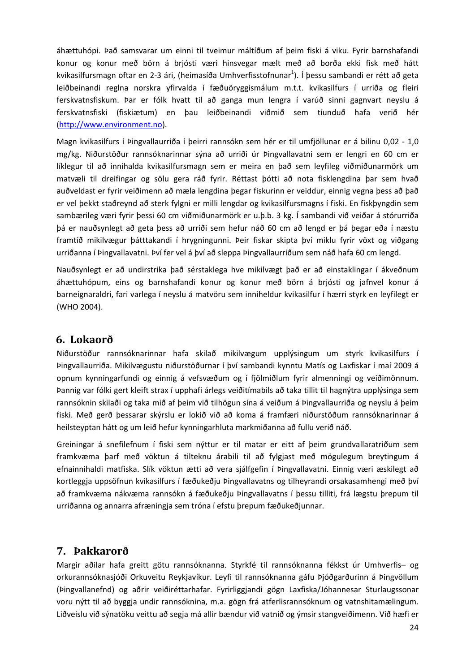áhættuhópi. Það samsvarar um einni til tveimur máltíðum af þeim fiski á viku. Fyrir barnshafandi konur og konur með börn á brjósti væri hinsvegar mælt með að borða ekki fisk með hátt kvikasilfursmagn oftar en 2-3 ári, (heimasíða Umhverfisstofnunar<sup>1</sup>). Í þessu sambandi er rétt að geta leiðbeinandi reglna norskra yfirvalda í fæðuöryggismálum m.t.t. kvikasilfurs í urriða og fleiri ferskvatnsfiskum. Þar er fólk hvatt til að ganga mun lengra í varúð sinni gagnvart neyslu á ferskvatnsfiski (fiskiætum) en þau leiðbeinandi viðmið sem tíunduð hafa verið hér (http://www.environment.no).

Magn kvikasilfurs í Þingvallaurriða í þeirri rannsókn sem hér er til umfjöllunar er á bilinu 0,02 ‐ 1,0 mg/kg. Niðurstöður rannsóknarinnar sýna að urriði úr Þingvallavatni sem er lengri en 60 cm er líklegur til að innihalda kvikasilfursmagn sem er meira en það sem leyfileg viðmiðunarmörk um matvæli til dreifingar og sölu gera ráð fyrir. Réttast þótti að nota fisklengdina þar sem hvað auðveldast er fyrir veiðimenn að mæla lengdina þegar fiskurinn er veiddur, einnig vegna þess að það er vel þekkt staðreynd að sterk fylgni er milli lengdar og kvikasilfursmagns í fiski. En fiskþyngdin sem sambærileg væri fyrir þessi 60 cm viðmiðunarmörk er u.þ.b. 3 kg. Í sambandi við veiðar á stórurriða þá er nauðsynlegt að geta þess að urriði sem hefur náð 60 cm að lengd er þá þegar eða í næstu framtíð mikilvægur þátttakandi í hrygningunni. Þeir fiskar skipta því miklu fyrir vöxt og viðgang urriðanna í Þingvallavatni. Því fer vel á því að sleppa Þingvallaurriðum sem náð hafa 60 cm lengd.

Nauðsynlegt er að undirstrika það sérstaklega hve mikilvægt það er að einstaklingar í ákveðnum áhættuhópum, eins og barnshafandi konur og konur með börn á brjósti og jafnvel konur á barneignaraldri, fari varlega í neyslu á matvöru sem inniheldur kvikasilfur í hærri styrk en leyfilegt er (WHO 2004).

#### **6. Lokaorð**

Niðurstöður rannsóknarinnar hafa skilað mikilvægum upplýsingum um styrk kvikasilfurs í Þingvallaurriða. Mikilvægustu niðurstöðurnar í því sambandi kynntu Matís og Laxfiskar í maí 2009 á opnum kynningarfundi og einnig á vefsvæðum og í fjölmiðlum fyrir almenningi og veiðimönnum. Þannig var fólki gert kleift strax í upphafi árlegs veiðitímabils að taka tillit til hagnýtra upplýsinga sem rannsóknin skilaði og taka mið af þeim við tilhögun sína á veiðum á Þingvallaurriða og neyslu á þeim fiski. Með gerð þessarar skýrslu er lokið við að koma á framfæri niðurstöðum rannsóknarinnar á heilsteyptan hátt og um leið hefur kynningarhluta markmiðanna að fullu verið náð.

Greiningar á snefilefnum í fiski sem nýttur er til matar er eitt af þeim grundvallaratriðum sem framkvæma þarf með vöktun á tilteknu árabili til að fylgjast með mögulegum breytingum á efnainnihaldi matfiska. Slík vöktun ætti að vera sjálfgefin í Þingvallavatni. Einnig væri æskilegt að kortleggja uppsöfnun kvikasilfurs í fæðukeðju Þingvallavatns og tilheyrandi orsakasamhengi með því að framkvæma nákvæma rannsókn á fæðukeðju Þingvallavatns í þessu tilliti, frá lægstu þrepum til urriðanna og annarra afræningja sem tróna í efstu þrepum fæðukeðjunnar.

## **7. Þakkarorð**

Margir aðilar hafa greitt götu rannsóknanna. Styrkfé til rannsóknanna fékkst úr Umhverfis– og orkurannsóknasjóði Orkuveitu Reykjavíkur. Leyfi til rannsóknanna gáfu Þjóðgarðurinn á Þingvöllum (Þingvallanefnd) og aðrir veiðiréttarhafar. Fyrirliggjandi gögn Laxfiska/Jóhannesar Sturlaugssonar voru nýtt til að byggja undir rannsóknina, m.a. gögn frá atferlisrannsóknum og vatnshitamælingum. Liðveislu við sýnatöku veittu að segja má allir bændur við vatnið og ýmsir stangveiðimenn. Við hæfi er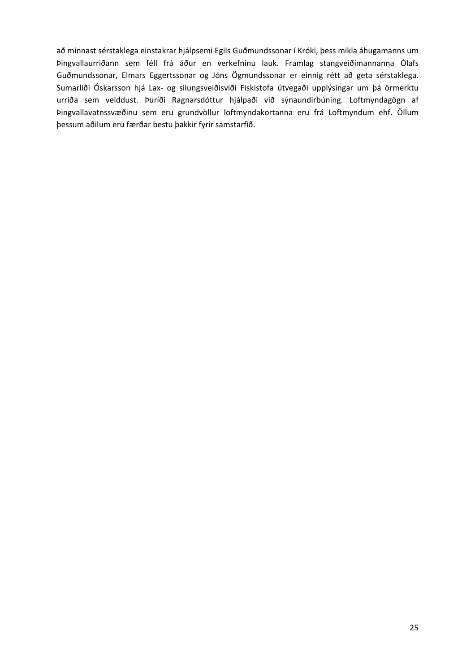að minnast sérstaklega einstakrar hjálpsemi Egils Guðmundssonar í Króki, þess mikla áhugamanns um Þingvallaurriðann sem féll frá áður en verkefninu lauk. Framlag stangveiðimannanna Ólafs Guðmundssonar, Elmars Eggertssonar og Jóns Ögmundssonar er einnig rétt að geta sérstaklega. Sumarliði Óskarsson hjá Lax‐ og silungsveiðisviði Fiskistofa útvegaði upplýsingar um þá örmerktu urriða sem veiddust. Þuríði Ragnarsdóttur hjálpaði við sýnaundirbúning. Loftmyndagögn af Þingvallavatnssvæðinu sem eru grundvöllur loftmyndakortanna eru frá Loftmyndum ehf. Öllum þessum aðilum eru færðar bestu þakkir fyrir samstarfið.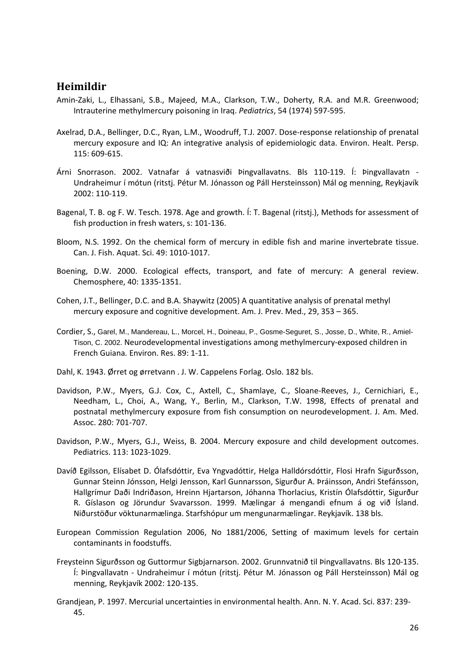#### **Heimildir**

- Amin-Zaki, L., Elhassani, S.B., Majeed, M.A., Clarkson, T.W., Doherty, R.A. and M.R. Greenwood; Intrauterine methylmercury poisoning in Iraq. *Pediatrics*, 54 (1974) 597‐595.
- Axelrad, D.A., Bellinger, D.C., Ryan, L.M., Woodruff, T.J. 2007. Dose-response relationship of prenatal mercury exposure and IQ: An integrative analysis of epidemiologic data. Environ. Healt. Persp. 115: 609‐615.
- Árni Snorrason. 2002. Vatnafar á vatnasviði Þingvallavatns. Bls 110‐119. Í: Þingvallavatn ‐ Undraheimur í mótun (ritstj. Pétur M. Jónasson og Páll Hersteinsson) Mál og menning, Reykjavík 2002: 110‐119.
- Bagenal, T. B. og F. W. Tesch. 1978. Age and growth. Í: T. Bagenal (ritstj.), Methods for assessment of fish production in fresh waters, s: 101‐136.
- Bloom, N.S. 1992. On the chemical form of mercury in edible fish and marine invertebrate tissue. Can. J. Fish. Aquat. Sci. 49: 1010‐1017.
- Boening, D.W. 2000. Ecological effects, transport, and fate of mercury: A general review. Chemosphere, 40: 1335‐1351.
- Cohen, J.T., Bellinger, D.C. and B.A. Shaywitz (2005) A quantitative analysis of prenatal methyl mercury exposure and cognitive development. Am. J. Prev. Med., 29, 353 – 365.
- Cordier, S., Garel, M., Mandereau, L., Morcel, H., Doineau, P., Gosme-Seguret, S., Josse, D., White, R., Amiel-Tison, C. 2002. Neurodevelopmental investigations among methylmercury‐exposed children in French Guiana*.* Environ. Res. 89: 1‐11.
- Dahl, K. 1943. Ørret og ørretvann . J. W. Cappelens Forlag. Oslo. 182 bls.
- Davidson, P.W., Myers, G.J. Cox, C., Axtell, C., Shamlaye, C., Sloane‐Reeves, J., Cernichiari, E., Needham, L., Choi, A., Wang, Y., Berlin, M., Clarkson, T.W. 1998, Effects of prenatal and postnatal methylmercury exposure from fish consumption on neurodevelopment. J. Am. Med. Assoc. 280: 701‐707.
- Davidson, P.W., Myers, G.J., Weiss, B. 2004. Mercury exposure and child development outcomes. Pediatrics. 113: 1023‐1029.
- Davíð Egilsson, Elísabet D. Ólafsdóttir, Eva Yngvadóttir, Helga Halldórsdóttir, Flosi Hrafn Sigurðsson, Gunnar Steinn Jónsson, Helgi Jensson, Karl Gunnarsson, Sigurður A. Þráinsson, Andri Stefánsson, Hallgrímur Daði Indriðason, Hreinn Hjartarson, Jóhanna Thorlacius, Kristín Ólafsdóttir, Sigurður R. Gíslason og Jörundur Svavarsson. 1999. Mælingar á mengandi efnum á og við Ísland. Niðurstöður vöktunarmælinga. Starfshópur um mengunarmælingar. Reykjavík. 138 bls.
- European Commission Regulation 2006, No 1881/2006, Setting of maximum levels for certain contaminants in foodstuffs.
- Freysteinn Sigurðsson og Guttormur Sigbjarnarson. 2002. Grunnvatnið til Þingvallavatns. Bls 120‐135. Í: Þingvallavatn ‐ Undraheimur í mótun (ritstj. Pétur M. Jónasson og Páll Hersteinsson) Mál og menning, Reykjavík 2002: 120‐135.
- Grandjean, P. 1997. Mercurial uncertainties in environmental health. Ann. N. Y. Acad. Sci. 837: 239‐ 45.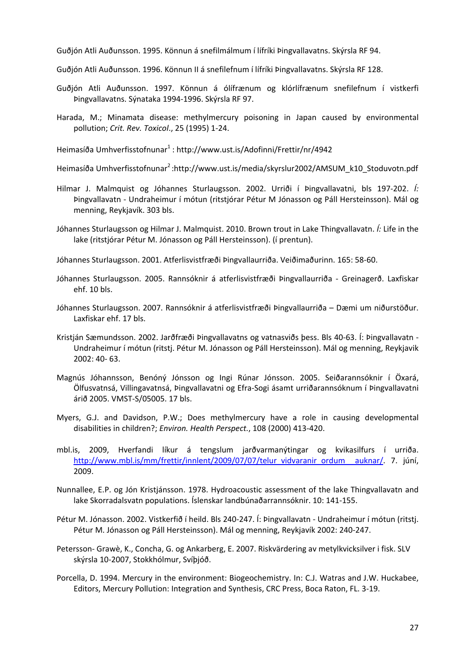Guðjón Atli Auðunsson. 1995. Könnun á snefilmálmum í lífríki Þingvallavatns. Skýrsla RF 94.

- Guðjón Atli Auðunsson. 1996. Könnun II á snefilefnum í lífríki Þingvallavatns. Skýrsla RF 128.
- Guðjón Atli Auðunsson. 1997. Könnun á ólífrænum og klórlífrænum snefilefnum í vistkerfi Þingvallavatns. Sýnataka 1994‐1996. Skýrsla RF 97.
- Harada, M.; Minamata disease: methylmercury poisoning in Japan caused by environmental pollution; *Crit. Rev. Toxicol*., 25 (1995) 1‐24.

Heimasíða Umhverfisstofnunar<sup>1</sup> : http://www.ust.is/Adofinni/Frettir/nr/4942

Heimasíða Umhverfisstofnunar<sup>2</sup>:http://www.ust.is/media/skyrslur2002/AMSUM\_k10\_Stoduvotn.pdf

- Hilmar J. Malmquist og Jóhannes Sturlaugsson. 2002. Urriði í Þingvallavatni, bls 197‐202. *Í:* Þingvallavatn ‐ Undraheimur í mótun (ritstjórar Pétur M Jónasson og Páll Hersteinsson). Mál og menning, Reykjavík. 303 bls.
- Jóhannes Sturlaugsson og Hilmar J. Malmquist. 2010. Brown trout in Lake Thingvallavatn. *Í:* Life in the lake (ritstjórar Pétur M. Jónasson og Páll Hersteinsson). (í prentun).

Jóhannes Sturlaugsson. 2001. Atferlisvistfræði Þingvallaurriða. Veiðimaðurinn. 165: 58‐60.

- Jóhannes Sturlaugsson. 2005. Rannsóknir á atferlisvistfræði Þingvallaurriða ‐ Greinagerð. Laxfiskar ehf. 10 bls.
- Jóhannes Sturlaugsson. 2007. Rannsóknir á atferlisvistfræði Þingvallaurriða Dæmi um niðurstöður. Laxfiskar ehf. 17 bls.
- Kristján Sæmundsson. 2002. Jarðfræði Þingvallavatns og vatnasviðs þess. Bls 40‐63. Í: Þingvallavatn ‐ Undraheimur í mótun (ritstj. Pétur M. Jónasson og Páll Hersteinsson). Mál og menning, Reykjavik 2002: 40‐ 63.
- Magnús Jóhannsson, Benóný Jónsson og Ingi Rúnar Jónsson. 2005. Seiðarannsóknir í Öxará, Ölfusvatnsá, Villingavatnsá, Þingvallavatni og Efra‐Sogi ásamt urriðarannsóknum í Þingvallavatni árið 2005. VMST‐S/05005. 17 bls.
- Myers, G.J. and Davidson, P.W.; Does methylmercury have a role in causing developmental disabilities in children?; *Environ. Health Perspect.*, 108 (2000) 413‐420.
- mbl.is, 2009, Hverfandi líkur á tengslum jarðvarmanýtingar og kvikasilfurs í urriða. http://www.mbl.is/mm/frettir/innlent/2009/07/07/telur\_vidvaranir\_ordum \_auknar/. 7. júní, 2009.
- Nunnallee, E.P. og Jón Kristjánsson. 1978. Hydroacoustic assessment of the lake Thingvallavatn and lake Skorradalsvatn populations. Íslenskar landbúnaðarrannsóknir. 10: 141‐155.
- Pétur M. Jónasson. 2002. Vistkerfið í heild. Bls 240-247. Í: Þingvallavatn Undraheimur í mótun (ritstj. Pétur M. Jónasson og Páll Hersteinsson). Mál og menning, Reykjavík 2002: 240‐247.
- Petersson‐ Grawè, K., Concha, G. og Ankarberg, E. 2007. Riskvärdering av metylkvicksilver i fisk. SLV skýrsla 10‐2007, Stokkhólmur, Svíþjóð.
- Porcella, D. 1994. Mercury in the environment: Biogeochemistry. In: C.J. Watras and J.W. Huckabee, Editors, Mercury Pollution: Integration and Synthesis, CRC Press, Boca Raton, FL. 3‐19.